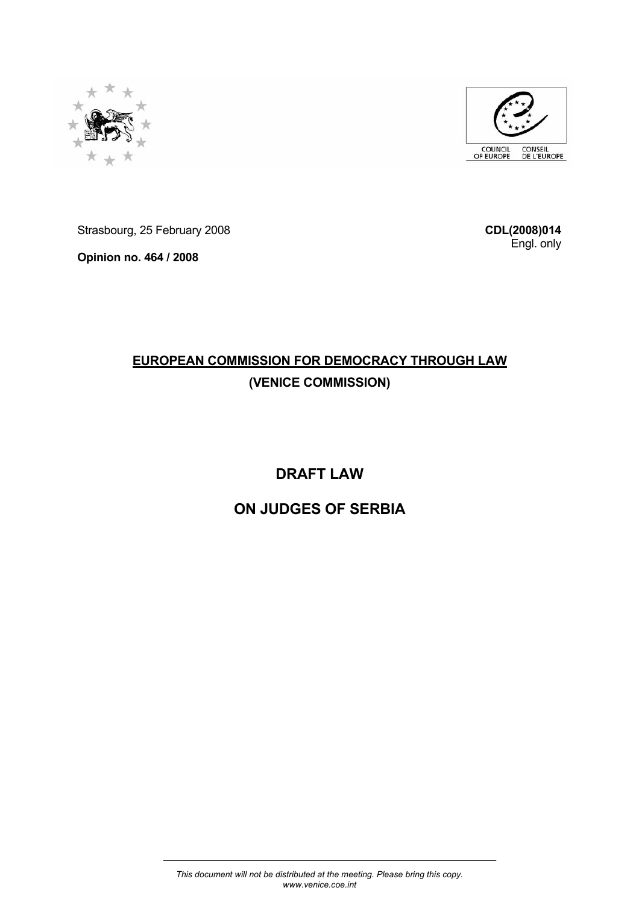



Strasbourg, 25 February 2008

**Opinion no. 464 / 2008** 

**CDL(2008)014** Engl. only

# **EUROPEAN COMMISSION FOR DEMOCRACY THROUGH LAW (VENICE COMMISSION)**

# **DRAFT LAW**

# **ON JUDGES OF SERBIA**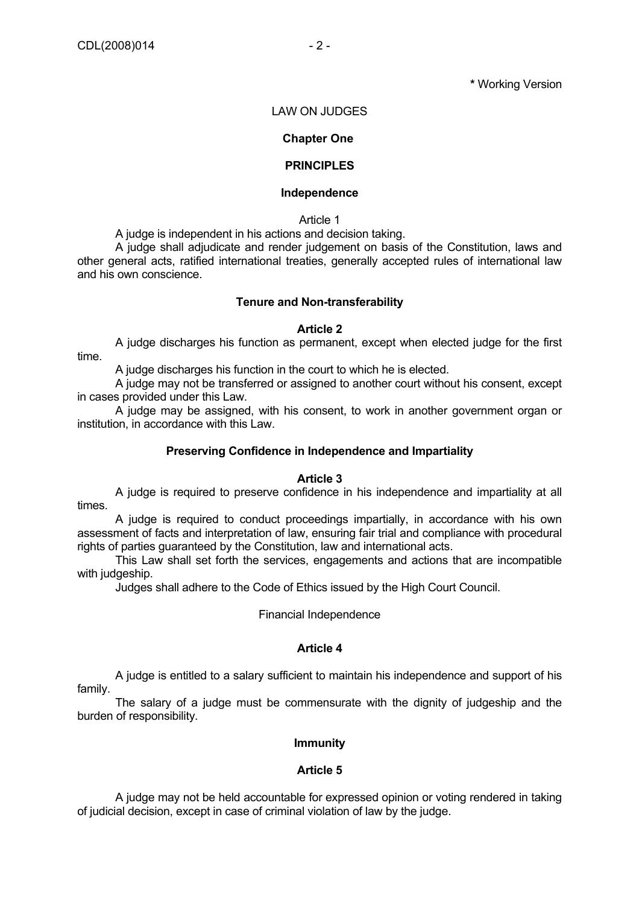**\*** Working Version

#### LAW ON JUDGES

#### **Chapter One**

### **PRINCIPLES**

#### **Independence**

Article 1

A judge is independent in his actions and decision taking.

 A judge shall adjudicate and render judgement on basis of the Constitution, laws and other general acts, ratified international treaties, generally accepted rules of international law and his own conscience.

#### **Tenure and Non-transferability**

#### **Article 2**

 A judge discharges his function as permanent, except when elected judge for the first time.

A judge discharges his function in the court to which he is elected.

 A judge may not be transferred or assigned to another court without his consent, except in cases provided under this Law.

 A judge may be assigned, with his consent, to work in another government organ or institution, in accordance with this Law.

#### **Preserving Confidence in Independence and Impartiality**

#### **Article 3**

 A judge is required to preserve confidence in his independence and impartiality at all times.

 A judge is required to conduct proceedings impartially, in accordance with his own assessment of facts and interpretation of law, ensuring fair trial and compliance with procedural rights of parties guaranteed by the Constitution, law and international acts.

 This Law shall set forth the services, engagements and actions that are incompatible with judgeship.

Judges shall adhere to the Code of Ethics issued by the High Court Council.

Financial Independence

#### **Article 4**

 A judge is entitled to a salary sufficient to maintain his independence and support of his family.

 The salary of a judge must be commensurate with the dignity of judgeship and the burden of responsibility.

#### **Immunity**

#### **Article 5**

 A judge may not be held accountable for expressed opinion or voting rendered in taking of judicial decision, except in case of criminal violation of law by the judge.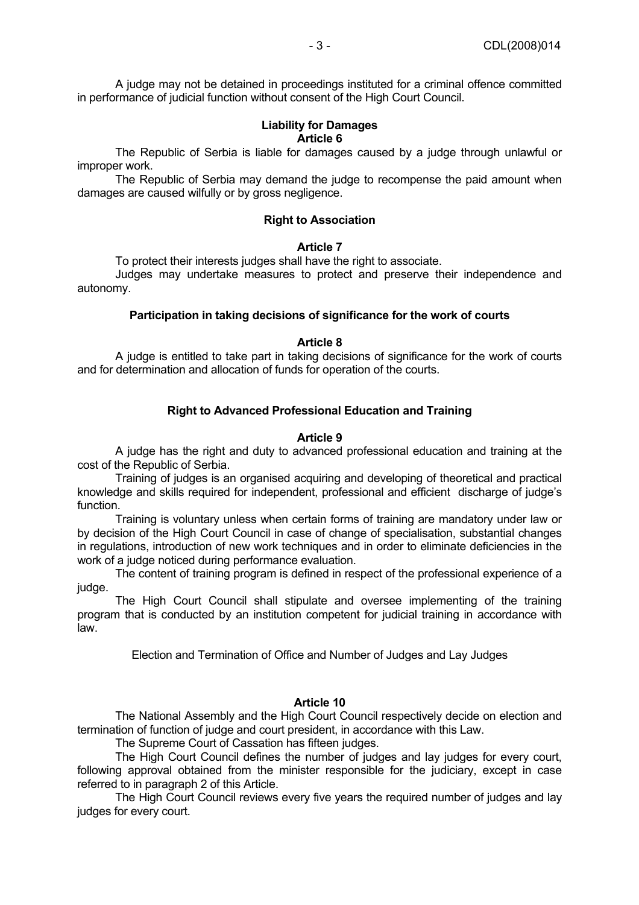A judge may not be detained in proceedings instituted for a criminal offence committed in performance of judicial function without consent of the High Court Council.

### **Liability for Damages Article 6**

 The Republic of Serbia is liable for damages caused by a judge through unlawful or improper work.

 The Republic of Serbia may demand the judge to recompense the paid amount when damages are caused wilfully or by gross negligence.

### **Right to Association**

#### **Article 7**

To protect their interests judges shall have the right to associate.

 Judges may undertake measures to protect and preserve their independence and autonomy.

### **Participation in taking decisions of significance for the work of courts**

### **Article 8**

 A judge is entitled to take part in taking decisions of significance for the work of courts and for determination and allocation of funds for operation of the courts.

# **Right to Advanced Professional Education and Training**

#### **Article 9**

 A judge has the right and duty to advanced professional education and training at the cost of the Republic of Serbia.

 Training of judges is an organised acquiring and developing of theoretical and practical knowledge and skills required for independent, professional and efficient discharge of judge's function.

 Training is voluntary unless when certain forms of training are mandatory under law or by decision of the High Court Council in case of change of specialisation, substantial changes in regulations, introduction of new work techniques and in order to eliminate deficiencies in the work of a judge noticed during performance evaluation.

 The content of training program is defined in respect of the professional experience of a judge.

 The High Court Council shall stipulate and oversee implementing of the training program that is conducted by an institution competent for judicial training in accordance with law.

Election and Termination of Office and Number of Judges and Lay Judges

# **Article 10**

 The National Assembly and the High Court Council respectively decide on election and termination of function of judge and court president, in accordance with this Law.

The Supreme Court of Cassation has fifteen judges.

 The High Court Council defines the number of judges and lay judges for every court, following approval obtained from the minister responsible for the judiciary, except in case referred to in paragraph 2 of this Article.

 The High Court Council reviews every five years the required number of judges and lay judges for every court.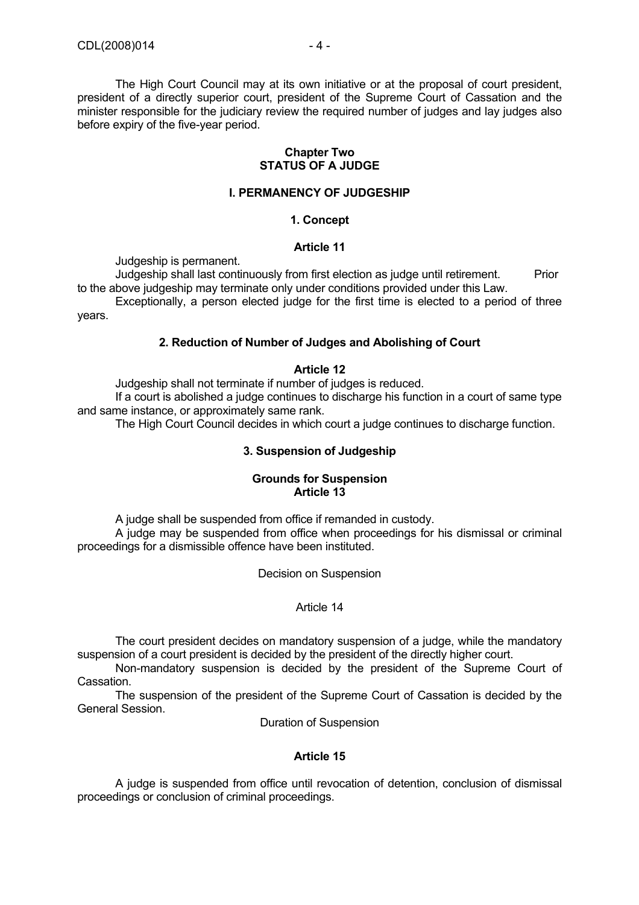The High Court Council may at its own initiative or at the proposal of court president, president of a directly superior court, president of the Supreme Court of Cassation and the minister responsible for the judiciary review the required number of judges and lay judges also before expiry of the five-year period.

#### **Chapter Two STATUS OF A JUDGE**

#### **I. PERMANENCY OF JUDGESHIP**

### **1. Concept**

#### **Article 11**

Judgeship is permanent.

Judgeship shall last continuously from first election as judge until retirement. Prior to the above judgeship may terminate only under conditions provided under this Law.

 Exceptionally, a person elected judge for the first time is elected to a period of three years.

#### **2. Reduction of Number of Judges and Abolishing of Court**

#### **Article 12**

Judgeship shall not terminate if number of judges is reduced.

 If a court is abolished a judge continues to discharge his function in a court of same type and same instance, or approximately same rank.

The High Court Council decides in which court a judge continues to discharge function.

### **3. Suspension of Judgeship**

### **Grounds for Suspension Article 13**

A judge shall be suspended from office if remanded in custody.

 A judge may be suspended from office when proceedings for his dismissal or criminal proceedings for a dismissible offence have been instituted.

Decision on Suspension

### Article 14

 The court president decides on mandatory suspension of a judge, while the mandatory suspension of a court president is decided by the president of the directly higher court.

 Non-mandatory suspension is decided by the president of the Supreme Court of Cassation.

 The suspension of the president of the Supreme Court of Cassation is decided by the General Session.

Duration of Suspension

#### **Article 15**

 A judge is suspended from office until revocation of detention, conclusion of dismissal proceedings or conclusion of criminal proceedings.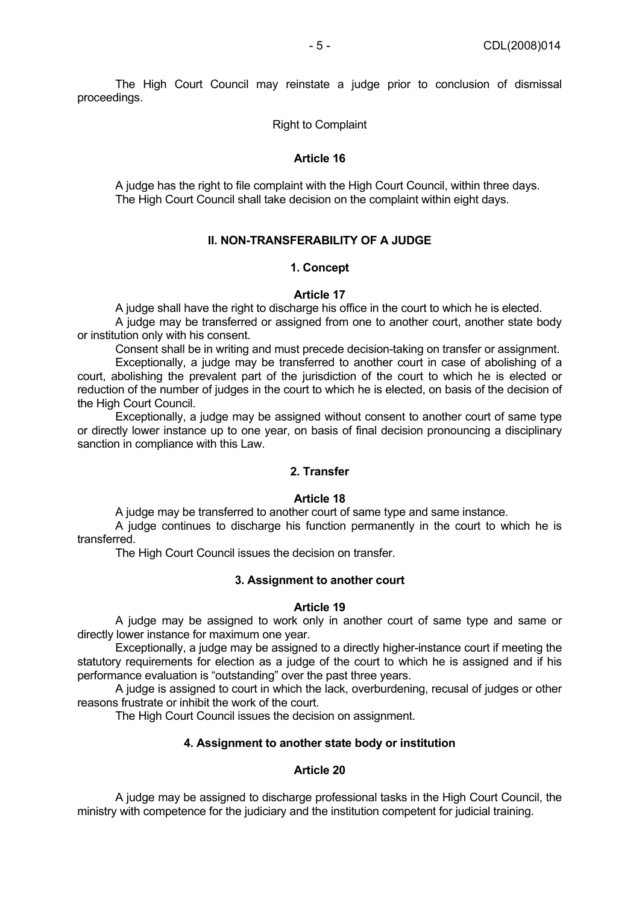The High Court Council may reinstate a judge prior to conclusion of dismissal proceedings.

Right to Complaint

### **Article 16**

 A judge has the right to file complaint with the High Court Council, within three days. The High Court Council shall take decision on the complaint within eight days.

### **II. NON-TRANSFERABILITY OF A JUDGE**

#### **1. Concept**

### **Article 17**

 A judge shall have the right to discharge his office in the court to which he is elected. A judge may be transferred or assigned from one to another court, another state body or institution only with his consent.

Consent shall be in writing and must precede decision-taking on transfer or assignment.

 Exceptionally, a judge may be transferred to another court in case of abolishing of a court, abolishing the prevalent part of the jurisdiction of the court to which he is elected or reduction of the number of judges in the court to which he is elected, on basis of the decision of the High Court Council.

 Exceptionally, a judge may be assigned without consent to another court of same type or directly lower instance up to one year, on basis of final decision pronouncing a disciplinary sanction in compliance with this Law.

#### **2. Transfer**

#### **Article 18**

A judge may be transferred to another court of same type and same instance.

 A judge continues to discharge his function permanently in the court to which he is transferred.

The High Court Council issues the decision on transfer.

#### **3. Assignment to another court**

#### **Article 19**

 A judge may be assigned to work only in another court of same type and same or directly lower instance for maximum one year.

 Exceptionally, a judge may be assigned to a directly higher-instance court if meeting the statutory requirements for election as a judge of the court to which he is assigned and if his performance evaluation is "outstanding" over the past three years.

 A judge is assigned to court in which the lack, overburdening, recusal of judges or other reasons frustrate or inhibit the work of the court.

The High Court Council issues the decision on assignment.

# **4. Assignment to another state body or institution**

# **Article 20**

 A judge may be assigned to discharge professional tasks in the High Court Council, the ministry with competence for the judiciary and the institution competent for judicial training.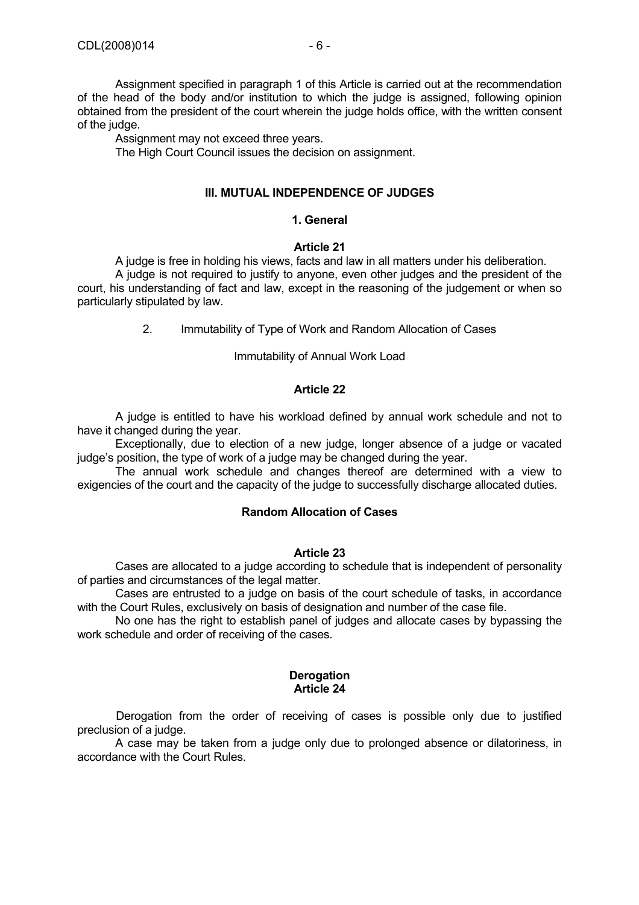of the head of the body and/or institution to which the judge is assigned, following opinion obtained from the president of the court wherein the judge holds office, with the written consent of the judge.

Assignment may not exceed three years.

The High Court Council issues the decision on assignment.

# **III. MUTUAL INDEPENDENCE OF JUDGES**

# **1. General**

# **Article 21**

 A judge is free in holding his views, facts and law in all matters under his deliberation. A judge is not required to justify to anyone, even other judges and the president of the court, his understanding of fact and law, except in the reasoning of the judgement or when so particularly stipulated by law.

2. Immutability of Type of Work and Random Allocation of Cases

# Immutability of Annual Work Load

# **Article 22**

 A judge is entitled to have his workload defined by annual work schedule and not to have it changed during the year.

 Exceptionally, due to election of a new judge, longer absence of a judge or vacated judge's position, the type of work of a judge may be changed during the year.

 The annual work schedule and changes thereof are determined with a view to exigencies of the court and the capacity of the judge to successfully discharge allocated duties.

# **Random Allocation of Cases**

# **Article 23**

 Cases are allocated to a judge according to schedule that is independent of personality of parties and circumstances of the legal matter.

 Cases are entrusted to a judge on basis of the court schedule of tasks, in accordance with the Court Rules, exclusively on basis of designation and number of the case file.

 No one has the right to establish panel of judges and allocate cases by bypassing the work schedule and order of receiving of the cases.

#### **Derogation Article 24**

Derogation from the order of receiving of cases is possible only due to justified preclusion of a judge.

 A case may be taken from a judge only due to prolonged absence or dilatoriness, in accordance with the Court Rules.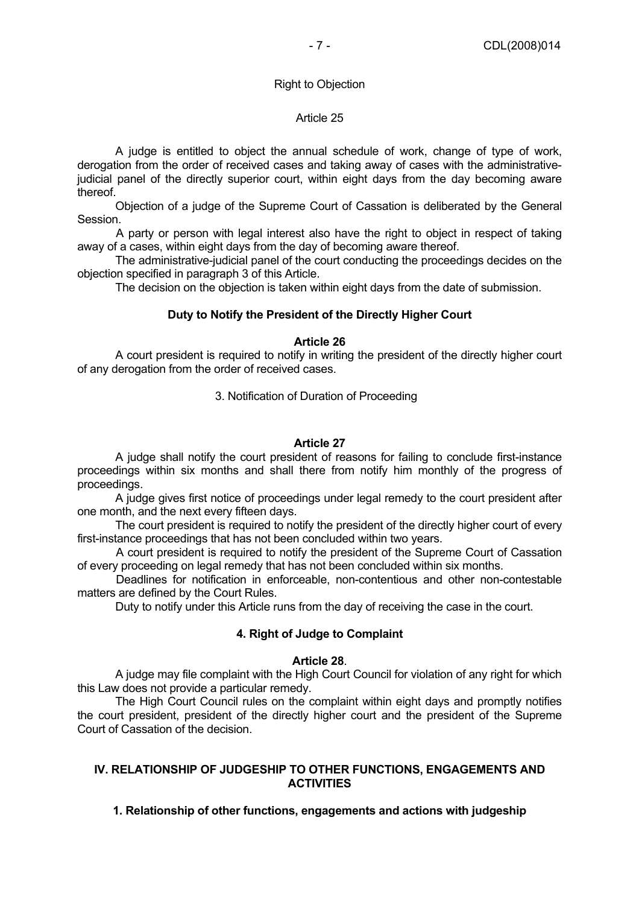#### Right to Objection

#### Article 25

 A judge is entitled to object the annual schedule of work, change of type of work, derogation from the order of received cases and taking away of cases with the administrativejudicial panel of the directly superior court, within eight days from the day becoming aware thereof.

 Objection of a judge of the Supreme Court of Cassation is deliberated by the General Session.

A party or person with legal interest also have the right to object in respect of taking away of a cases, within eight days from the day of becoming aware thereof.

 The administrative-judicial panel of the court conducting the proceedings decides on the objection specified in paragraph 3 of this Article.

The decision on the objection is taken within eight days from the date of submission.

### **Duty to Notify the President of the Directly Higher Court**

### **Article 26**

 A court president is required to notify in writing the president of the directly higher court of any derogation from the order of received cases.

#### 3. Notification of Duration of Proceeding

#### **Article 27**

 A judge shall notify the court president of reasons for failing to conclude first-instance proceedings within six months and shall there from notify him monthly of the progress of proceedings.

 A judge gives first notice of proceedings under legal remedy to the court president after one month, and the next every fifteen days.

 The court president is required to notify the president of the directly higher court of every first-instance proceedings that has not been concluded within two years.

A court president is required to notify the president of the Supreme Court of Cassation of every proceeding on legal remedy that has not been concluded within six months.

Deadlines for notification in enforceable, non-contentious and other non-contestable matters are defined by the Court Rules.

Duty to notify under this Article runs from the day of receiving the case in the court.

#### **4. Right of Judge to Complaint**

#### **Article 28**.

 A judge may file complaint with the High Court Council for violation of any right for which this Law does not provide a particular remedy.

 The High Court Council rules on the complaint within eight days and promptly notifies the court president, president of the directly higher court and the president of the Supreme Court of Cassation of the decision.

### **IV. RELATIONSHIP OF JUDGESHIP TO OTHER FUNCTIONS, ENGAGEMENTS AND ACTIVITIES**

**1. Relationship of other functions, engagements and actions with judgeship**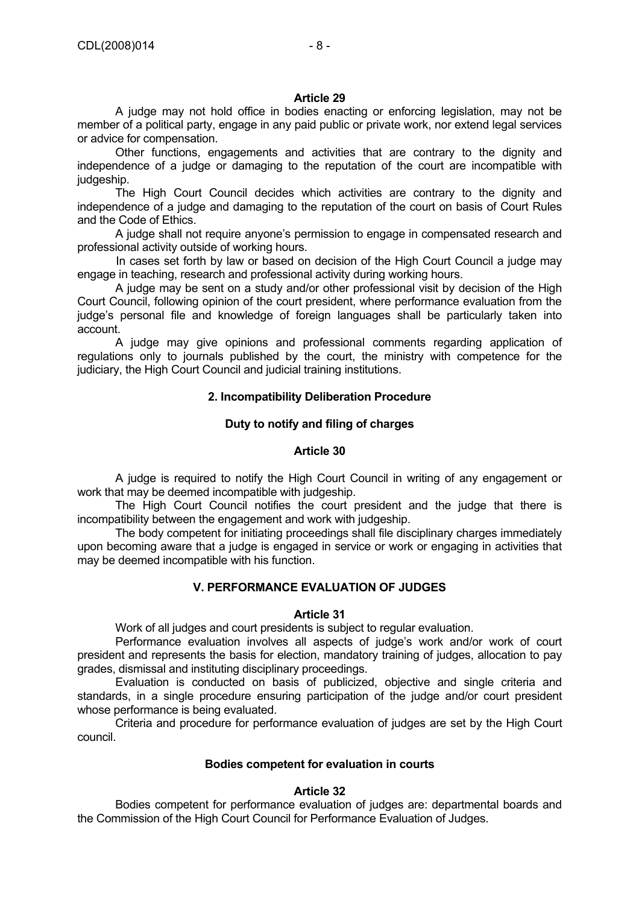### **Article 29**

 A judge may not hold office in bodies enacting or enforcing legislation, may not be member of a political party, engage in any paid public or private work, nor extend legal services or advice for compensation.

 Other functions, engagements and activities that are contrary to the dignity and independence of a judge or damaging to the reputation of the court are incompatible with judgeship.

 The High Court Council decides which activities are contrary to the dignity and independence of a judge and damaging to the reputation of the court on basis of Court Rules and the Code of Ethics.

 A judge shall not require anyone's permission to engage in compensated research and professional activity outside of working hours.

In cases set forth by law or based on decision of the High Court Council a judge may engage in teaching, research and professional activity during working hours.

 A judge may be sent on a study and/or other professional visit by decision of the High Court Council, following opinion of the court president, where performance evaluation from the judge's personal file and knowledge of foreign languages shall be particularly taken into account.

 A judge may give opinions and professional comments regarding application of regulations only to journals published by the court, the ministry with competence for the judiciary, the High Court Council and judicial training institutions.

# **2. Incompatibility Deliberation Procedure**

# **Duty to notify and filing of charges**

# **Article 30**

 A judge is required to notify the High Court Council in writing of any engagement or work that may be deemed incompatible with judgeship.

 The High Court Council notifies the court president and the judge that there is incompatibility between the engagement and work with judgeship.

 The body competent for initiating proceedings shall file disciplinary charges immediately upon becoming aware that a judge is engaged in service or work or engaging in activities that may be deemed incompatible with his function.

# **V. PERFORMANCE EVALUATION OF JUDGES**

#### **Article 31**

Work of all judges and court presidents is subject to regular evaluation.

 Performance evaluation involves all aspects of judge's work and/or work of court president and represents the basis for election, mandatory training of judges, allocation to pay grades, dismissal and instituting disciplinary proceedings.

 Evaluation is conducted on basis of publicized, objective and single criteria and standards, in a single procedure ensuring participation of the judge and/or court president whose performance is being evaluated.

 Criteria and procedure for performance evaluation of judges are set by the High Court council.

# **Bodies competent for evaluation in courts**

#### **Article 32**

 Bodies competent for performance evaluation of judges are: departmental boards and the Commission of the High Court Council for Performance Evaluation of Judges.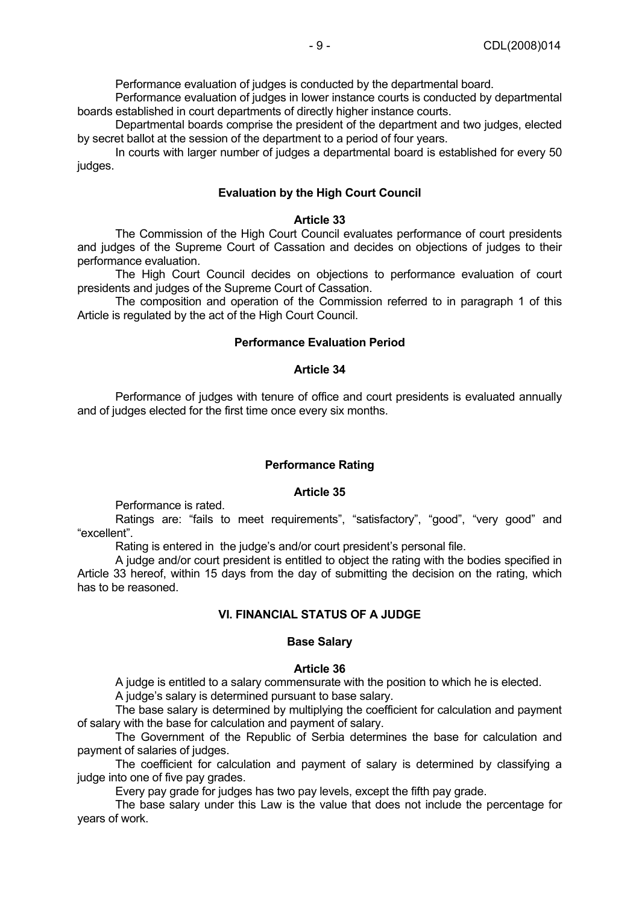Performance evaluation of judges is conducted by the departmental board.

 Performance evaluation of judges in lower instance courts is conducted by departmental boards established in court departments of directly higher instance courts.

 Departmental boards comprise the president of the department and two judges, elected by secret ballot at the session of the department to a period of four years.

 In courts with larger number of judges a departmental board is established for every 50 judges.

#### **Evaluation by the High Court Council**

#### **Article 33**

 The Commission of the High Court Council evaluates performance of court presidents and judges of the Supreme Court of Cassation and decides on objections of judges to their performance evaluation.

 The High Court Council decides on objections to performance evaluation of court presidents and judges of the Supreme Court of Cassation.

 The composition and operation of the Commission referred to in paragraph 1 of this Article is regulated by the act of the High Court Council.

#### **Performance Evaluation Period**

#### **Article 34**

 Performance of judges with tenure of office and court presidents is evaluated annually and of judges elected for the first time once every six months.

#### **Performance Rating**

#### **Article 35**

Performance is rated.

Ratings are: "fails to meet requirements", "satisfactory", "good", "very good" and "excellent".

Rating is entered in the judge's and/or court president's personal file.

 A judge and/or court president is entitled to object the rating with the bodies specified in Article 33 hereof, within 15 days from the day of submitting the decision on the rating, which has to be reasoned.

#### **VI. FINANCIAL STATUS OF A JUDGE**

#### **Base Salary**

#### **Article 36**

A judge is entitled to a salary commensurate with the position to which he is elected.

A judge's salary is determined pursuant to base salary.

 The base salary is determined by multiplying the coefficient for calculation and payment of salary with the base for calculation and payment of salary.

 The Government of the Republic of Serbia determines the base for calculation and payment of salaries of judges.

 The coefficient for calculation and payment of salary is determined by classifying a judge into one of five pay grades.

Every pay grade for judges has two pay levels, except the fifth pay grade.

 The base salary under this Law is the value that does not include the percentage for years of work.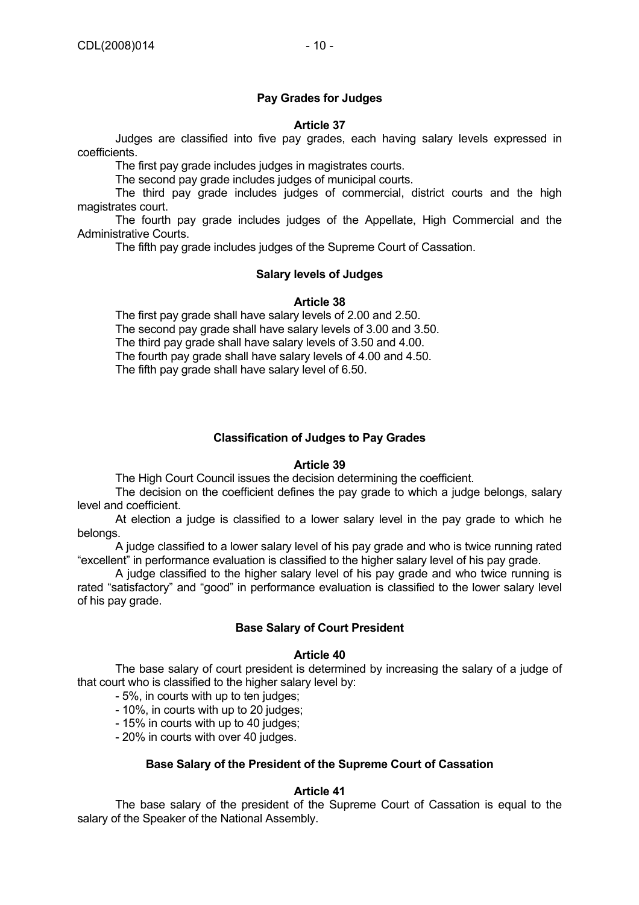# **Pay Grades for Judges**

# **Article 37**

 Judges are classified into five pay grades, each having salary levels expressed in coefficients.

The first pay grade includes judges in magistrates courts.

The second pay grade includes judges of municipal courts.

 The third pay grade includes judges of commercial, district courts and the high magistrates court.

 The fourth pay grade includes judges of the Appellate, High Commercial and the Administrative Courts.

The fifth pay grade includes judges of the Supreme Court of Cassation.

# **Salary levels of Judges**

### **Article 38**

 The first pay grade shall have salary levels of 2.00 and 2.50. The second pay grade shall have salary levels of 3.00 and 3.50. The third pay grade shall have salary levels of 3.50 and 4.00. The fourth pay grade shall have salary levels of 4.00 and 4.50. The fifth pay grade shall have salary level of 6.50.

# **Classification of Judges to Pay Grades**

#### **Article 39**

The High Court Council issues the decision determining the coefficient.

 The decision on the coefficient defines the pay grade to which a judge belongs, salary level and coefficient.

 At election a judge is classified to a lower salary level in the pay grade to which he belongs.

 A judge classified to a lower salary level of his pay grade and who is twice running rated "excellent" in performance evaluation is classified to the higher salary level of his pay grade.

 A judge classified to the higher salary level of his pay grade and who twice running is rated "satisfactory" and "good" in performance evaluation is classified to the lower salary level of his pay grade.

# **Base Salary of Court President**

#### **Article 40**

 The base salary of court president is determined by increasing the salary of a judge of that court who is classified to the higher salary level by:

- 5%, in courts with up to ten judges;

- 10%, in courts with up to 20 judges;

- 15% in courts with up to 40 judges;

- 20% in courts with over 40 judges.

#### **Base Salary of the President of the Supreme Court of Cassation**

#### **Article 41**

 The base salary of the president of the Supreme Court of Cassation is equal to the salary of the Speaker of the National Assembly.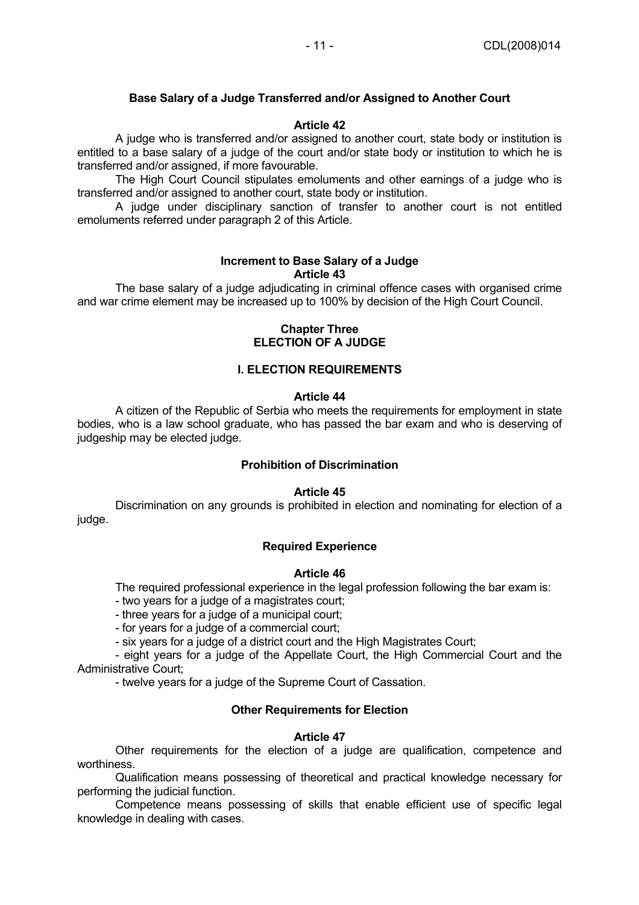# **Base Salary of a Judge Transferred and/or Assigned to Another Court**

### **Article 42**

 A judge who is transferred and/or assigned to another court, state body or institution is entitled to a base salary of a judge of the court and/or state body or institution to which he is transferred and/or assigned, if more favourable.

 The High Court Council stipulates emoluments and other earnings of a judge who is transferred and/or assigned to another court, state body or institution.

 A judge under disciplinary sanction of transfer to another court is not entitled emoluments referred under paragraph 2 of this Article.

#### **Increment to Base Salary of a Judge Article 43**

 The base salary of a judge adjudicating in criminal offence cases with organised crime and war crime element may be increased up to 100% by decision of the High Court Council.

### **Chapter Three ELECTION OF A JUDGE**

### **I. ELECTION REQUIREMENTS**

#### **Article 44**

 A citizen of the Republic of Serbia who meets the requirements for employment in state bodies, who is a law school graduate, who has passed the bar exam and who is deserving of judgeship may be elected judge.

### **Prohibition of Discrimination**

#### **Article 45**

 Discrimination on any grounds is prohibited in election and nominating for election of a judge.

#### **Required Experience**

### **Article 46**

The required professional experience in the legal profession following the bar exam is:

- two years for a judge of a magistrates court;

- three years for a judge of a municipal court;

- for years for a judge of a commercial court;

- six years for a judge of a district court and the High Magistrates Court;

 - eight years for a judge of the Appellate Court, the High Commercial Court and the Administrative Court;

- twelve years for a judge of the Supreme Court of Cassation.

# **Other Requirements for Election**

#### **Article 47**

 Other requirements for the election of a judge are qualification, competence and worthiness.

 Qualification means possessing of theoretical and practical knowledge necessary for performing the judicial function.

 Competence means possessing of skills that enable efficient use of specific legal knowledge in dealing with cases.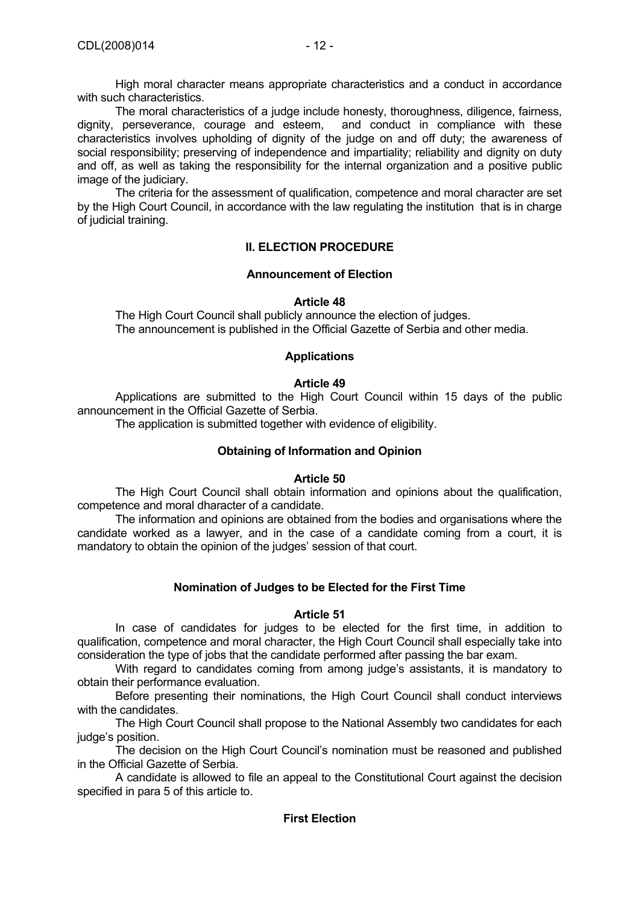High moral character means appropriate characteristics and a conduct in accordance with such characteristics.

 The moral characteristics of a judge include honesty, thoroughness, diligence, fairness, dignity, perseverance, courage and esteem, and conduct in compliance with these characteristics involves upholding of dignity of the judge on and off duty; the awareness of social responsibility; preserving of independence and impartiality; reliability and dignity on duty and off, as well as taking the responsibility for the internal organization and a positive public image of the judiciary.

 The criteria for the assessment of qualification, competence and moral character are set by the High Court Council, in accordance with the law regulating the institution that is in charge of judicial training.

# **II. ELECTION PROCEDURE**

# **Announcement of Election**

# **Article 48**

 The High Court Council shall publicly announce the election of judges. The announcement is published in the Official Gazette of Serbia and other media.

# **Applications**

# **Article 49**

 Applications are submitted to the High Court Council within 15 days of the public announcement in the Official Gazette of Serbia.

The application is submitted together with evidence of eligibility.

# **Obtaining of Information and Opinion**

# **Article 50**

 The High Court Council shall obtain information and opinions about the qualification, competence and moral dharacter of a candidate.

 The information and opinions are obtained from the bodies and organisations where the candidate worked as a lawyer, and in the case of a candidate coming from a court, it is mandatory to obtain the opinion of the judges' session of that court.

# **Nomination of Judges to be Elected for the First Time**

# **Article 51**

 In case of candidates for judges to be elected for the first time, in addition to qualification, competence and moral character, the High Court Council shall especially take into consideration the type of jobs that the candidate performed after passing the bar exam.

 With regard to candidates coming from among judge's assistants, it is mandatory to obtain their performance evaluation.

 Before presenting their nominations, the High Court Council shall conduct interviews with the candidates.

 The High Court Council shall propose to the National Assembly two candidates for each judge's position.

 The decision on the High Court Council's nomination must be reasoned and published in the Official Gazette of Serbia.

 A candidate is allowed to file an appeal to the Constitutional Court against the decision specified in para 5 of this article to.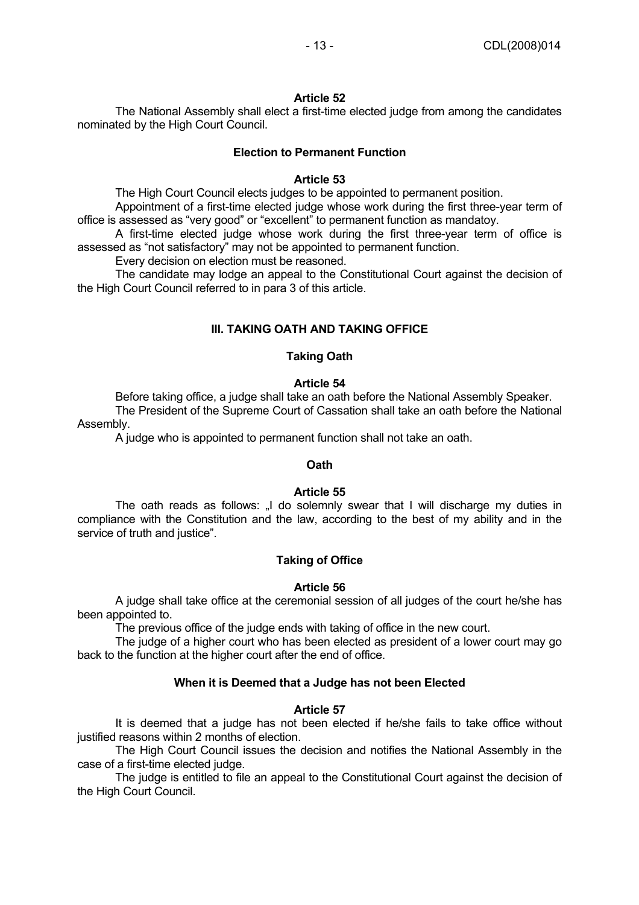#### **Article 52**

 The National Assembly shall elect a first-time elected judge from among the candidates nominated by the High Court Council.

### **Election to Permanent Function**

### **Article 53**

The High Court Council elects judges to be appointed to permanent position.

 Appointment of a first-time elected judge whose work during the first three-year term of office is assessed as "very good" or "excellent" to permanent function as mandatoy.

 A first-time elected judge whose work during the first three-year term of office is assessed as "not satisfactory" may not be appointed to permanent function.

Every decision on election must be reasoned.

 The candidate may lodge an appeal to the Constitutional Court against the decision of the High Court Council referred to in para 3 of this article.

# **III. TAKING OATH AND TAKING OFFICE**

# **Taking Oath**

# **Article 54**

 Before taking office, a judge shall take an oath before the National Assembly Speaker. The President of the Supreme Court of Cassation shall take an oath before the National Assembly.

A judge who is appointed to permanent function shall not take an oath.

#### **Oath**

#### **Article 55**

The oath reads as follows: "I do solemnly swear that I will discharge my duties in compliance with the Constitution and the law, according to the best of my ability and in the service of truth and justice".

# **Taking of Office**

#### **Article 56**

 A judge shall take office at the ceremonial session of all judges of the court he/she has been appointed to.

The previous office of the judge ends with taking of office in the new court.

 The judge of a higher court who has been elected as president of a lower court may go back to the function at the higher court after the end of office.

# **When it is Deemed that a Judge has not been Elected**

#### **Article 57**

 It is deemed that a judge has not been elected if he/she fails to take office without justified reasons within 2 months of election.

 The High Court Council issues the decision and notifies the National Assembly in the case of a first-time elected judge.

 The judge is entitled to file an appeal to the Constitutional Court against the decision of the High Court Council.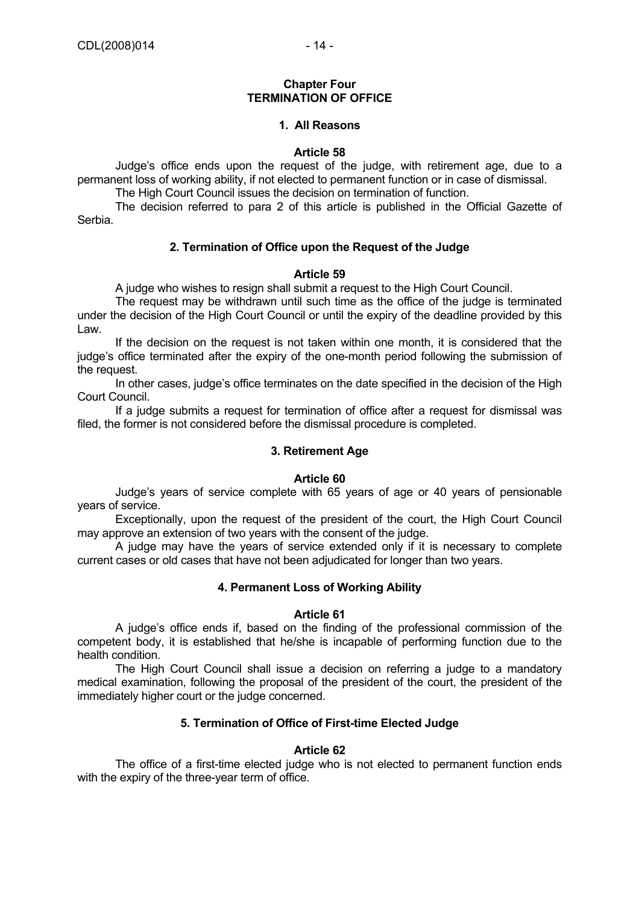#### **Chapter Four TERMINATION OF OFFICE**

# **1. All Reasons**

#### **Article 58**

 Judge's office ends upon the request of the judge, with retirement age, due to a permanent loss of working ability, if not elected to permanent function or in case of dismissal.

The High Court Council issues the decision on termination of function.

 The decision referred to para 2 of this article is published in the Official Gazette of Serbia.

### **2. Termination of Office upon the Request of the Judge**

#### **Article 59**

A judge who wishes to resign shall submit a request to the High Court Council.

 The request may be withdrawn until such time as the office of the judge is terminated under the decision of the High Court Council or until the expiry of the deadline provided by this Law.

 If the decision on the request is not taken within one month, it is considered that the judge's office terminated after the expiry of the one-month period following the submission of the request.

 In other cases, judge's office terminates on the date specified in the decision of the High Court Council.

 If a judge submits a request for termination of office after a request for dismissal was filed, the former is not considered before the dismissal procedure is completed.

### **3. Retirement Age**

#### **Article 60**

 Judge's years of service complete with 65 years of age or 40 years of pensionable years of service.

 Exceptionally, upon the request of the president of the court, the High Court Council may approve an extension of two years with the consent of the judge.

 A judge may have the years of service extended only if it is necessary to complete current cases or old cases that have not been adjudicated for longer than two years.

#### **4. Permanent Loss of Working Ability**

#### **Article 61**

 A judge's office ends if, based on the finding of the professional commission of the competent body, it is established that he/she is incapable of performing function due to the health condition.

 The High Court Council shall issue a decision on referring a judge to a mandatory medical examination, following the proposal of the president of the court, the president of the immediately higher court or the judge concerned.

# **5. Termination of Office of First-time Elected Judge**

#### **Article 62**

 The office of a first-time elected judge who is not elected to permanent function ends with the expiry of the three-year term of office.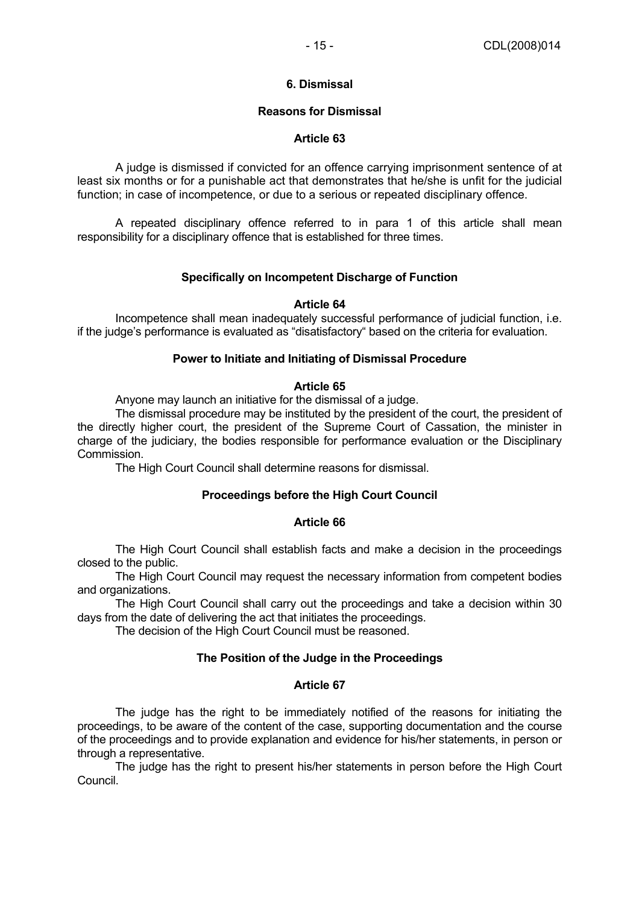# **6. Dismissal**

# **Reasons for Dismissal**

# **Article 63**

 A judge is dismissed if convicted for an offence carrying imprisonment sentence of at least six months or for a punishable act that demonstrates that he/she is unfit for the judicial function; in case of incompetence, or due to a serious or repeated disciplinary offence.

 A repeated disciplinary offence referred to in para 1 of this article shall mean responsibility for a disciplinary offence that is established for three times.

# **Specifically on Incompetent Discharge of Function**

# **Article 64**

 Incompetence shall mean inadequately successful performance of judicial function, i.e. if the judge's performance is evaluated as "disatisfactory" based on the criteria for evaluation.

# **Power to Initiate and Initiating of Dismissal Procedure**

# **Article 65**

Anyone may launch an initiative for the dismissal of a judge.

 The dismissal procedure may be instituted by the president of the court, the president of the directly higher court, the president of the Supreme Court of Cassation, the minister in charge of the judiciary, the bodies responsible for performance evaluation or the Disciplinary Commission.

The High Court Council shall determine reasons for dismissal.

# **Proceedings before the High Court Council**

#### **Article 66**

 The High Court Council shall establish facts and make a decision in the proceedings closed to the public.

 The High Court Council may request the necessary information from competent bodies and organizations.

 The High Court Council shall carry out the proceedings and take a decision within 30 days from the date of delivering the act that initiates the proceedings.

The decision of the High Court Council must be reasoned.

# **The Position of the Judge in the Proceedings**

# **Article 67**

 The judge has the right to be immediately notified of the reasons for initiating the proceedings, to be aware of the content of the case, supporting documentation and the course of the proceedings and to provide explanation and evidence for his/her statements, in person or through a representative.

 The judge has the right to present his/her statements in person before the High Court Council.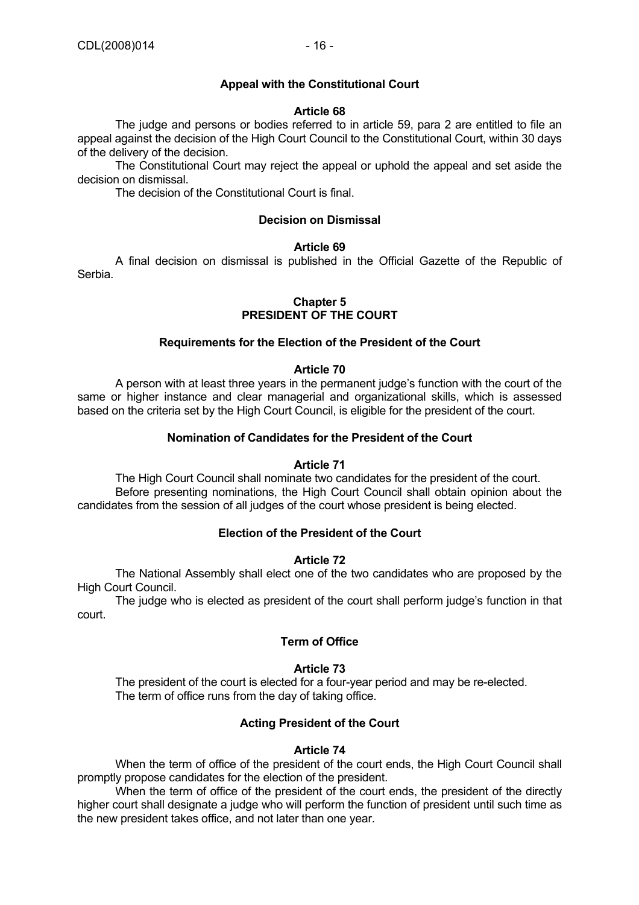# **Appeal with the Constitutional Court**

#### **Article 68**

 The judge and persons or bodies referred to in article 59, para 2 are entitled to file an appeal against the decision of the High Court Council to the Constitutional Court, within 30 days of the delivery of the decision.

 The Constitutional Court may reject the appeal or uphold the appeal and set aside the decision on dismissal.

The decision of the Constitutional Court is final.

#### **Decision on Dismissal**

#### **Article 69**

 A final decision on dismissal is published in the Official Gazette of the Republic of Serbia.

# **Chapter 5 PRESIDENT OF THE COURT**

#### **Requirements for the Election of the President of the Court**

#### **Article 70**

 A person with at least three years in the permanent judge's function with the court of the same or higher instance and clear managerial and organizational skills, which is assessed based on the criteria set by the High Court Council, is eligible for the president of the court.

#### **Nomination of Candidates for the President of the Court**

#### **Article 71**

 The High Court Council shall nominate two candidates for the president of the court. Before presenting nominations, the High Court Council shall obtain opinion about the candidates from the session of all judges of the court whose president is being elected.

### **Election of the President of the Court**

### **Article 72**

 The National Assembly shall elect one of the two candidates who are proposed by the High Court Council.

 The judge who is elected as president of the court shall perform judge's function in that court.

### **Term of Office**

#### **Article 73**

 The president of the court is elected for a four-year period and may be re-elected. The term of office runs from the day of taking office.

#### **Acting President of the Court**

#### **Article 74**

 When the term of office of the president of the court ends, the High Court Council shall promptly propose candidates for the election of the president.

 When the term of office of the president of the court ends, the president of the directly higher court shall designate a judge who will perform the function of president until such time as the new president takes office, and not later than one year.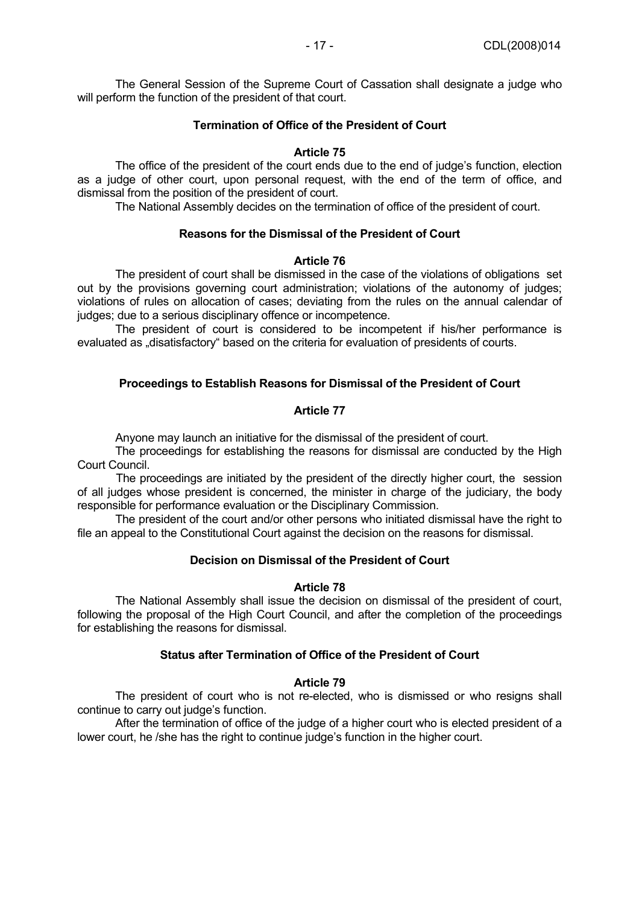The General Session of the Supreme Court of Cassation shall designate a judge who will perform the function of the president of that court.

### **Termination of Office of the President of Court**

### **Article 75**

 The office of the president of the court ends due to the end of judge's function, election as a judge of other court, upon personal request, with the end of the term of office, and dismissal from the position of the president of court.

The National Assembly decides on the termination of office of the president of court.

# **Reasons for the Dismissal of the President of Court**

#### **Article 76**

 The president of court shall be dismissed in the case of the violations of obligations set out by the provisions governing court administration; violations of the autonomy of judges; violations of rules on allocation of cases; deviating from the rules on the annual calendar of judges; due to a serious disciplinary offence or incompetence.

 The president of court is considered to be incompetent if his/her performance is evaluated as "disatisfactory" based on the criteria for evaluation of presidents of courts.

### **Proceedings to Establish Reasons for Dismissal of the President of Court**

### **Article 77**

Anyone may launch an initiative for the dismissal of the president of court.

 The proceedings for establishing the reasons for dismissal are conducted by the High Court Council.

The proceedings are initiated by the president of the directly higher court, the session of all judges whose president is concerned, the minister in charge of the judiciary, the body responsible for performance evaluation or the Disciplinary Commission.

 The president of the court and/or other persons who initiated dismissal have the right to file an appeal to the Constitutional Court against the decision on the reasons for dismissal.

# **Decision on Dismissal of the President of Court**

#### **Article 78**

 The National Assembly shall issue the decision on dismissal of the president of court, following the proposal of the High Court Council, and after the completion of the proceedings for establishing the reasons for dismissal.

### **Status after Termination of Office of the President of Court**

# **Article 79**

 The president of court who is not re-elected, who is dismissed or who resigns shall continue to carry out judge's function.

 After the termination of office of the judge of a higher court who is elected president of a lower court, he /she has the right to continue judge's function in the higher court.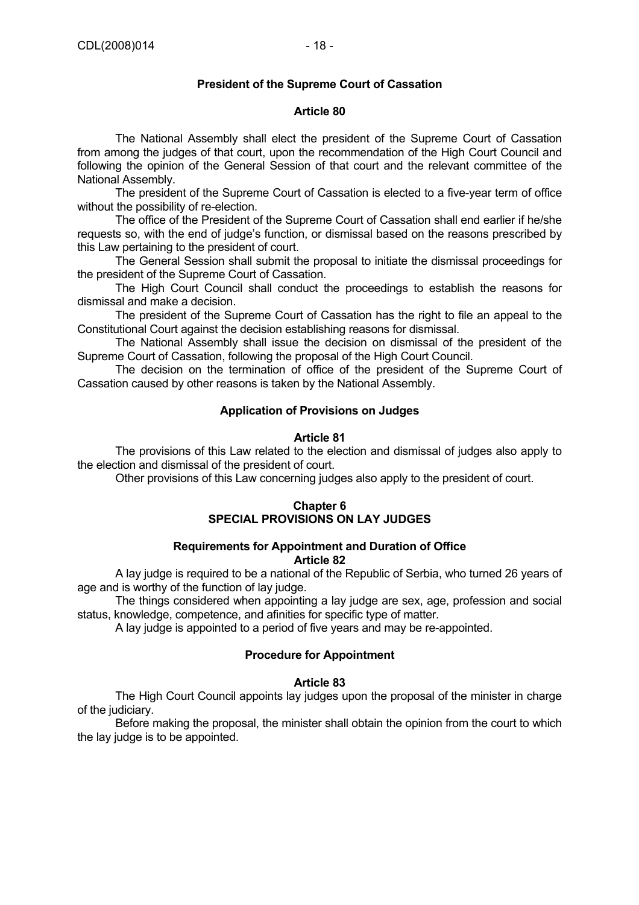### **President of the Supreme Court of Cassation**

### **Article 80**

 The National Assembly shall elect the president of the Supreme Court of Cassation from among the judges of that court, upon the recommendation of the High Court Council and following the opinion of the General Session of that court and the relevant committee of the National Assembly.

 The president of the Supreme Court of Cassation is elected to a five-year term of office without the possibility of re-election.

 The office of the President of the Supreme Court of Cassation shall end earlier if he/she requests so, with the end of judge's function, or dismissal based on the reasons prescribed by this Law pertaining to the president of court.

 The General Session shall submit the proposal to initiate the dismissal proceedings for the president of the Supreme Court of Cassation.

 The High Court Council shall conduct the proceedings to establish the reasons for dismissal and make a decision.

 The president of the Supreme Court of Cassation has the right to file an appeal to the Constitutional Court against the decision establishing reasons for dismissal.

 The National Assembly shall issue the decision on dismissal of the president of the Supreme Court of Cassation, following the proposal of the High Court Council.

 The decision on the termination of office of the president of the Supreme Court of Cassation caused by other reasons is taken by the National Assembly.

### **Application of Provisions on Judges**

### **Article 81**

 The provisions of this Law related to the election and dismissal of judges also apply to the election and dismissal of the president of court.

Other provisions of this Law concerning judges also apply to the president of court.

### **Chapter 6 SPECIAL PROVISIONS ON LAY JUDGES**

#### **Requirements for Appointment and Duration of Office Article 82**

 A lay judge is required to be a national of the Republic of Serbia, who turned 26 years of age and is worthy of the function of lay judge.

 The things considered when appointing a lay judge are sex, age, profession and social status, knowledge, competence, and afinities for specific type of matter.

A lay judge is appointed to a period of five years and may be re-appointed.

#### **Procedure for Appointment**

# **Article 83**

 The High Court Council appoints lay judges upon the proposal of the minister in charge of the judiciary.

 Before making the proposal, the minister shall obtain the opinion from the court to which the lay judge is to be appointed.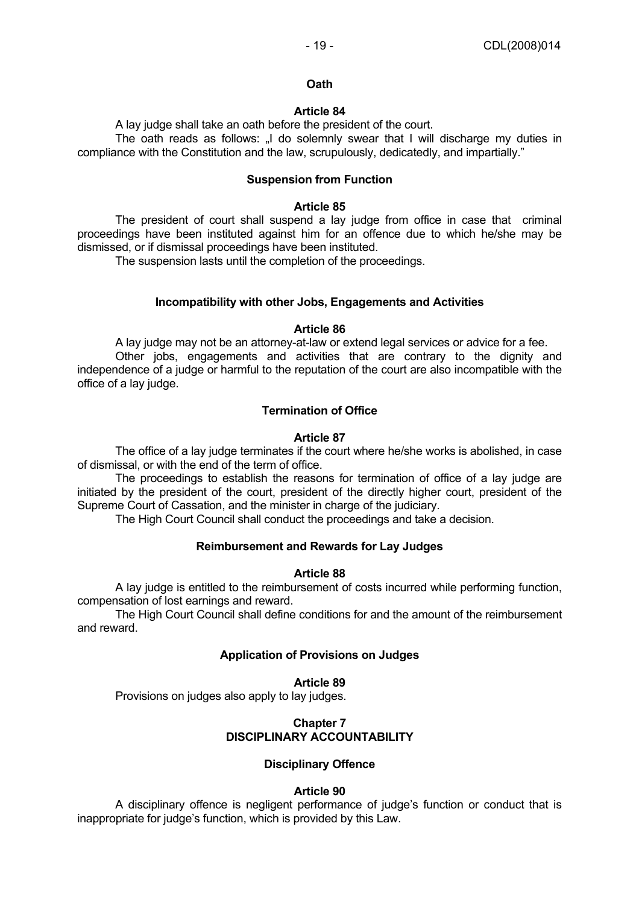### **Oath**

#### **Article 84**

A lay judge shall take an oath before the president of the court.

The oath reads as follows: I do solemnly swear that I will discharge my duties in compliance with the Constitution and the law, scrupulously, dedicatedly, and impartially."

### **Suspension from Function**

#### **Article 85**

 The president of court shall suspend a lay judge from office in case that criminal proceedings have been instituted against him for an offence due to which he/she may be dismissed, or if dismissal proceedings have been instituted.

The suspension lasts until the completion of the proceedings.

#### **Incompatibility with other Jobs, Engagements and Activities**

#### **Article 86**

 A lay judge may not be an attorney-at-law or extend legal services or advice for a fee. Other jobs, engagements and activities that are contrary to the dignity and independence of a judge or harmful to the reputation of the court are also incompatible with the office of a lay judge.

#### **Termination of Office**

#### **Article 87**

 The office of a lay judge terminates if the court where he/she works is abolished, in case of dismissal, or with the end of the term of office.

 The proceedings to establish the reasons for termination of office of a lay judge are initiated by the president of the court, president of the directly higher court, president of the Supreme Court of Cassation, and the minister in charge of the judiciary.

The High Court Council shall conduct the proceedings and take a decision.

### **Reimbursement and Rewards for Lay Judges**

#### **Article 88**

 A lay judge is entitled to the reimbursement of costs incurred while performing function, compensation of lost earnings and reward.

 The High Court Council shall define conditions for and the amount of the reimbursement and reward.

#### **Application of Provisions on Judges**

#### **Article 89**

Provisions on judges also apply to lay judges.

### **Chapter 7 DISCIPLINARY ACCOUNTABILITY**

#### **Disciplinary Offence**

#### **Article 90**

 A disciplinary offence is negligent performance of judge's function or conduct that is inappropriate for judge's function, which is provided by this Law.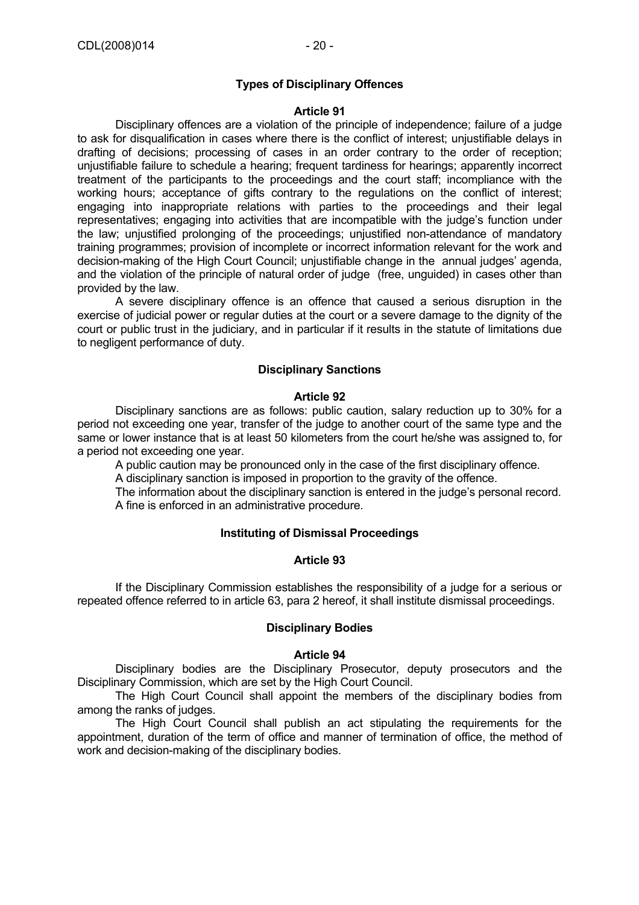### **Types of Disciplinary Offences**

#### **Article 91**

 Disciplinary offences are a violation of the principle of independence; failure of a judge to ask for disqualification in cases where there is the conflict of interest; unjustifiable delays in drafting of decisions; processing of cases in an order contrary to the order of reception; unjustifiable failure to schedule a hearing; frequent tardiness for hearings; apparently incorrect treatment of the participants to the proceedings and the court staff; incompliance with the working hours; acceptance of gifts contrary to the regulations on the conflict of interest; engaging into inappropriate relations with parties to the proceedings and their legal representatives; engaging into activities that are incompatible with the judge's function under the law; unjustified prolonging of the proceedings; unjustified non-attendance of mandatory training programmes; provision of incomplete or incorrect information relevant for the work and decision-making of the High Court Council; unjustifiable change in the annual judges' agenda, and the violation of the principle of natural order of judge (free, unguided) in cases other than provided by the law.

 A severe disciplinary offence is an offence that caused a serious disruption in the exercise of judicial power or regular duties at the court or a severe damage to the dignity of the court or public trust in the judiciary, and in particular if it results in the statute of limitations due to negligent performance of duty.

### **Disciplinary Sanctions**

#### **Article 92**

 Disciplinary sanctions are as follows: public caution, salary reduction up to 30% for a period not exceeding one year, transfer of the judge to another court of the same type and the same or lower instance that is at least 50 kilometers from the court he/she was assigned to, for a period not exceeding one year.

A public caution may be pronounced only in the case of the first disciplinary offence.

A disciplinary sanction is imposed in proportion to the gravity of the offence.

 The information about the disciplinary sanction is entered in the judge's personal record. A fine is enforced in an administrative procedure.

### **Instituting of Dismissal Proceedings**

### **Article 93**

 If the Disciplinary Commission establishes the responsibility of a judge for a serious or repeated offence referred to in article 63, para 2 hereof, it shall institute dismissal proceedings.

#### **Disciplinary Bodies**

#### **Article 94**

 Disciplinary bodies are the Disciplinary Prosecutor, deputy prosecutors and the Disciplinary Commission, which are set by the High Court Council.

 The High Court Council shall appoint the members of the disciplinary bodies from among the ranks of judges.

 The High Court Council shall publish an act stipulating the requirements for the appointment, duration of the term of office and manner of termination of office, the method of work and decision-making of the disciplinary bodies.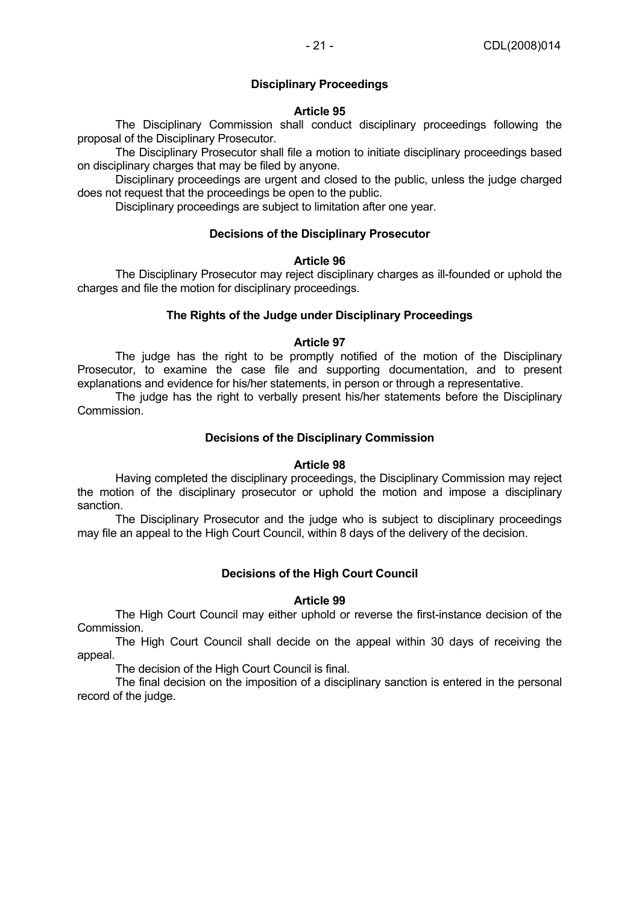# **Disciplinary Proceedings**

### **Article 95**

 The Disciplinary Commission shall conduct disciplinary proceedings following the proposal of the Disciplinary Prosecutor.

 The Disciplinary Prosecutor shall file a motion to initiate disciplinary proceedings based on disciplinary charges that may be filed by anyone.

 Disciplinary proceedings are urgent and closed to the public, unless the judge charged does not request that the proceedings be open to the public.

Disciplinary proceedings are subject to limitation after one year.

# **Decisions of the Disciplinary Prosecutor**

#### **Article 96**

 The Disciplinary Prosecutor may reject disciplinary charges as ill-founded or uphold the charges and file the motion for disciplinary proceedings.

### **The Rights of the Judge under Disciplinary Proceedings**

### **Article 97**

 The judge has the right to be promptly notified of the motion of the Disciplinary Prosecutor, to examine the case file and supporting documentation, and to present explanations and evidence for his/her statements, in person or through a representative.

 The judge has the right to verbally present his/her statements before the Disciplinary Commission.

### **Decisions of the Disciplinary Commission**

#### **Article 98**

 Having completed the disciplinary proceedings, the Disciplinary Commission may reject the motion of the disciplinary prosecutor or uphold the motion and impose a disciplinary sanction.

 The Disciplinary Prosecutor and the judge who is subject to disciplinary proceedings may file an appeal to the High Court Council, within 8 days of the delivery of the decision.

# **Decisions of the High Court Council**

#### **Article 99**

 The High Court Council may either uphold or reverse the first-instance decision of the Commission.

 The High Court Council shall decide on the appeal within 30 days of receiving the appeal.

The decision of the High Court Council is final.

 The final decision on the imposition of a disciplinary sanction is entered in the personal record of the judge.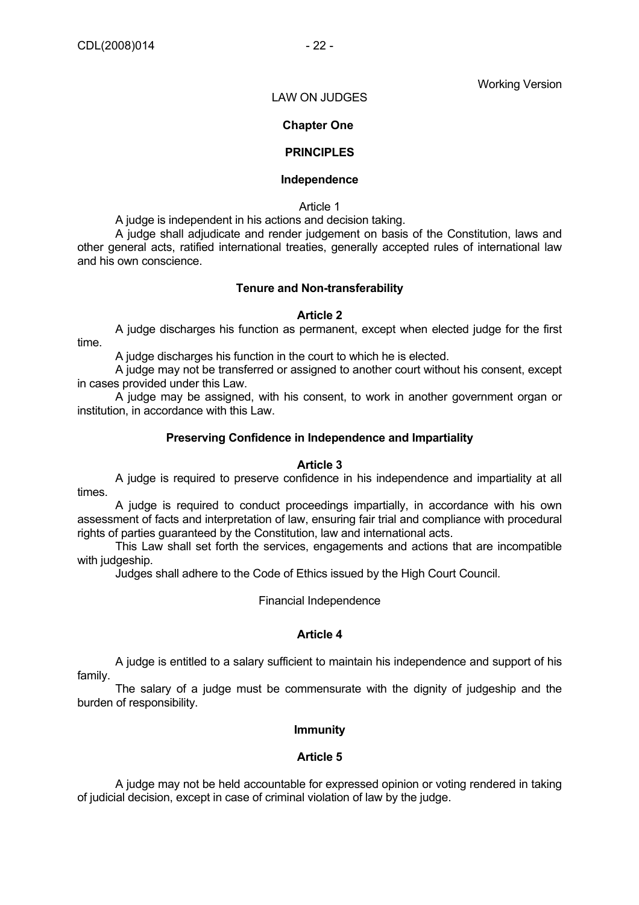Working Version

#### LAW ON JUDGES

### **Chapter One**

### **PRINCIPLES**

#### **Independence**

Article 1

A judge is independent in his actions and decision taking.

 A judge shall adjudicate and render judgement on basis of the Constitution, laws and other general acts, ratified international treaties, generally accepted rules of international law and his own conscience.

#### **Tenure and Non-transferability**

#### **Article 2**

 A judge discharges his function as permanent, except when elected judge for the first time.

A judge discharges his function in the court to which he is elected.

 A judge may not be transferred or assigned to another court without his consent, except in cases provided under this Law.

 A judge may be assigned, with his consent, to work in another government organ or institution, in accordance with this Law.

#### **Preserving Confidence in Independence and Impartiality**

### **Article 3**

 A judge is required to preserve confidence in his independence and impartiality at all times.

 A judge is required to conduct proceedings impartially, in accordance with his own assessment of facts and interpretation of law, ensuring fair trial and compliance with procedural rights of parties guaranteed by the Constitution, law and international acts.

 This Law shall set forth the services, engagements and actions that are incompatible with judgeship.

Judges shall adhere to the Code of Ethics issued by the High Court Council.

Financial Independence

### **Article 4**

 A judge is entitled to a salary sufficient to maintain his independence and support of his family.

 The salary of a judge must be commensurate with the dignity of judgeship and the burden of responsibility.

#### **Immunity**

#### **Article 5**

 A judge may not be held accountable for expressed opinion or voting rendered in taking of judicial decision, except in case of criminal violation of law by the judge.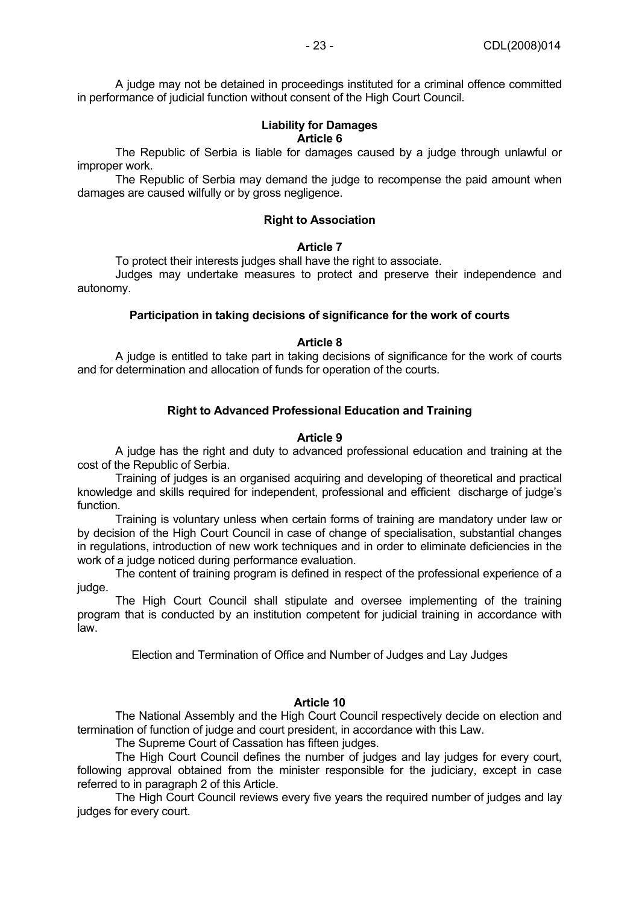A judge may not be detained in proceedings instituted for a criminal offence committed in performance of judicial function without consent of the High Court Council.

### **Liability for Damages Article 6**

 The Republic of Serbia is liable for damages caused by a judge through unlawful or improper work.

 The Republic of Serbia may demand the judge to recompense the paid amount when damages are caused wilfully or by gross negligence.

### **Right to Association**

#### **Article 7**

To protect their interests judges shall have the right to associate.

 Judges may undertake measures to protect and preserve their independence and autonomy.

### **Participation in taking decisions of significance for the work of courts**

### **Article 8**

 A judge is entitled to take part in taking decisions of significance for the work of courts and for determination and allocation of funds for operation of the courts.

# **Right to Advanced Professional Education and Training**

### **Article 9**

 A judge has the right and duty to advanced professional education and training at the cost of the Republic of Serbia.

 Training of judges is an organised acquiring and developing of theoretical and practical knowledge and skills required for independent, professional and efficient discharge of judge's function.

 Training is voluntary unless when certain forms of training are mandatory under law or by decision of the High Court Council in case of change of specialisation, substantial changes in regulations, introduction of new work techniques and in order to eliminate deficiencies in the work of a judge noticed during performance evaluation.

 The content of training program is defined in respect of the professional experience of a judge.

 The High Court Council shall stipulate and oversee implementing of the training program that is conducted by an institution competent for judicial training in accordance with law.

Election and Termination of Office and Number of Judges and Lay Judges

# **Article 10**

 The National Assembly and the High Court Council respectively decide on election and termination of function of judge and court president, in accordance with this Law.

The Supreme Court of Cassation has fifteen judges.

 The High Court Council defines the number of judges and lay judges for every court, following approval obtained from the minister responsible for the judiciary, except in case referred to in paragraph 2 of this Article.

 The High Court Council reviews every five years the required number of judges and lay judges for every court.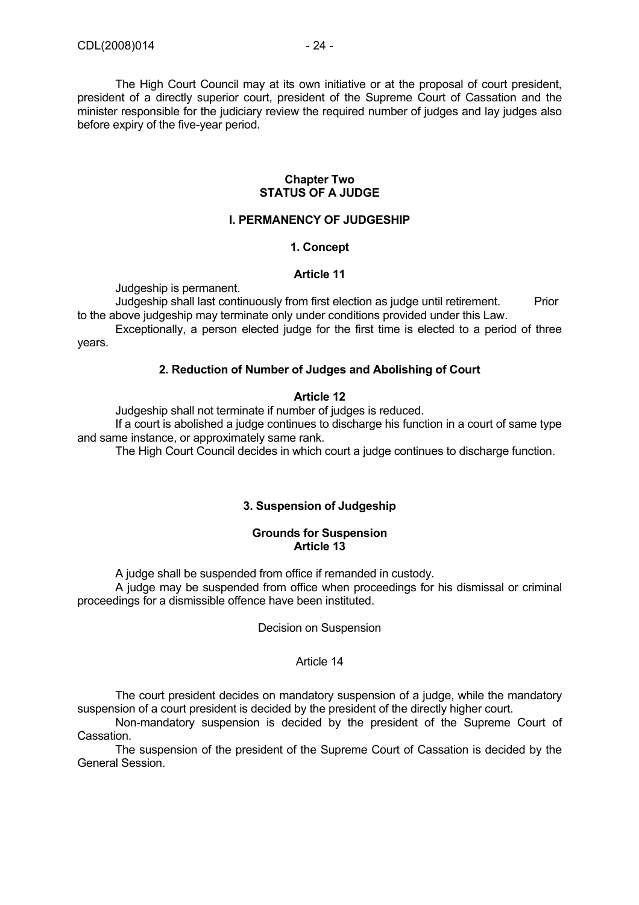The High Court Council may at its own initiative or at the proposal of court president, president of a directly superior court, president of the Supreme Court of Cassation and the minister responsible for the judiciary review the required number of judges and lay judges also before expiry of the five-year period.

#### **Chapter Two STATUS OF A JUDGE**

### **I. PERMANENCY OF JUDGESHIP**

### **1. Concept**

#### **Article 11**

Judgeship is permanent.

Judgeship shall last continuously from first election as judge until retirement. Prior to the above judgeship may terminate only under conditions provided under this Law.

 Exceptionally, a person elected judge for the first time is elected to a period of three years.

### **2. Reduction of Number of Judges and Abolishing of Court**

#### **Article 12**

Judgeship shall not terminate if number of judges is reduced.

 If a court is abolished a judge continues to discharge his function in a court of same type and same instance, or approximately same rank.

The High Court Council decides in which court a judge continues to discharge function.

# **3. Suspension of Judgeship**

#### **Grounds for Suspension Article 13**

A judge shall be suspended from office if remanded in custody.

 A judge may be suspended from office when proceedings for his dismissal or criminal proceedings for a dismissible offence have been instituted.

Decision on Suspension

#### Article 14

 The court president decides on mandatory suspension of a judge, while the mandatory suspension of a court president is decided by the president of the directly higher court.

 Non-mandatory suspension is decided by the president of the Supreme Court of Cassation.

 The suspension of the president of the Supreme Court of Cassation is decided by the General Session.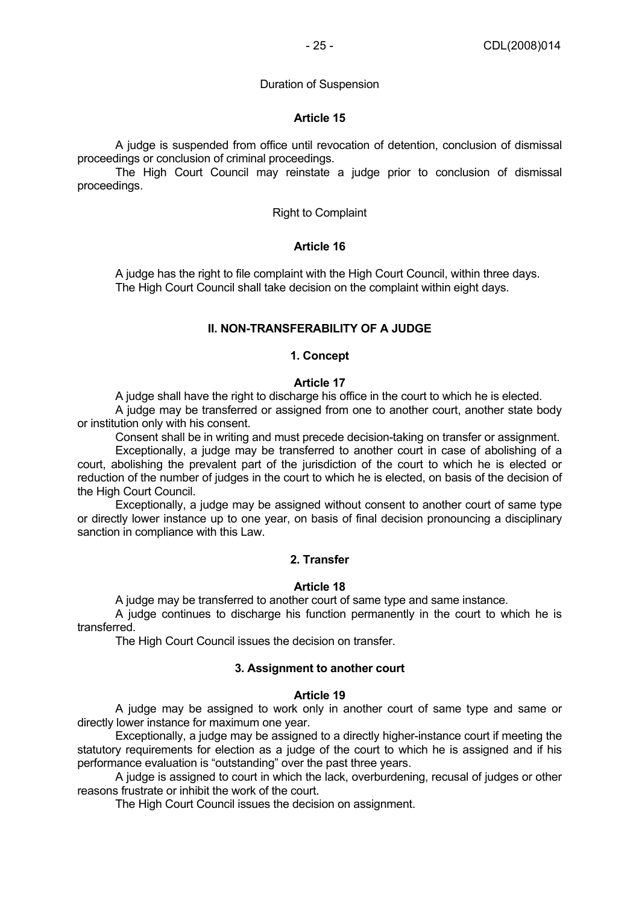### Duration of Suspension

### **Article 15**

 A judge is suspended from office until revocation of detention, conclusion of dismissal proceedings or conclusion of criminal proceedings.

 The High Court Council may reinstate a judge prior to conclusion of dismissal proceedings.

### Right to Complaint

# **Article 16**

 A judge has the right to file complaint with the High Court Council, within three days. The High Court Council shall take decision on the complaint within eight days.

### **II. NON-TRANSFERABILITY OF A JUDGE**

#### **1. Concept**

### **Article 17**

A judge shall have the right to discharge his office in the court to which he is elected.

 A judge may be transferred or assigned from one to another court, another state body or institution only with his consent.

Consent shall be in writing and must precede decision-taking on transfer or assignment.

 Exceptionally, a judge may be transferred to another court in case of abolishing of a court, abolishing the prevalent part of the jurisdiction of the court to which he is elected or reduction of the number of judges in the court to which he is elected, on basis of the decision of the High Court Council.

 Exceptionally, a judge may be assigned without consent to another court of same type or directly lower instance up to one year, on basis of final decision pronouncing a disciplinary sanction in compliance with this Law.

# **2. Transfer**

#### **Article 18**

A judge may be transferred to another court of same type and same instance.

 A judge continues to discharge his function permanently in the court to which he is transferred.

The High Court Council issues the decision on transfer.

#### **3. Assignment to another court**

#### **Article 19**

 A judge may be assigned to work only in another court of same type and same or directly lower instance for maximum one year.

 Exceptionally, a judge may be assigned to a directly higher-instance court if meeting the statutory requirements for election as a judge of the court to which he is assigned and if his performance evaluation is "outstanding" over the past three years.

 A judge is assigned to court in which the lack, overburdening, recusal of judges or other reasons frustrate or inhibit the work of the court.

The High Court Council issues the decision on assignment.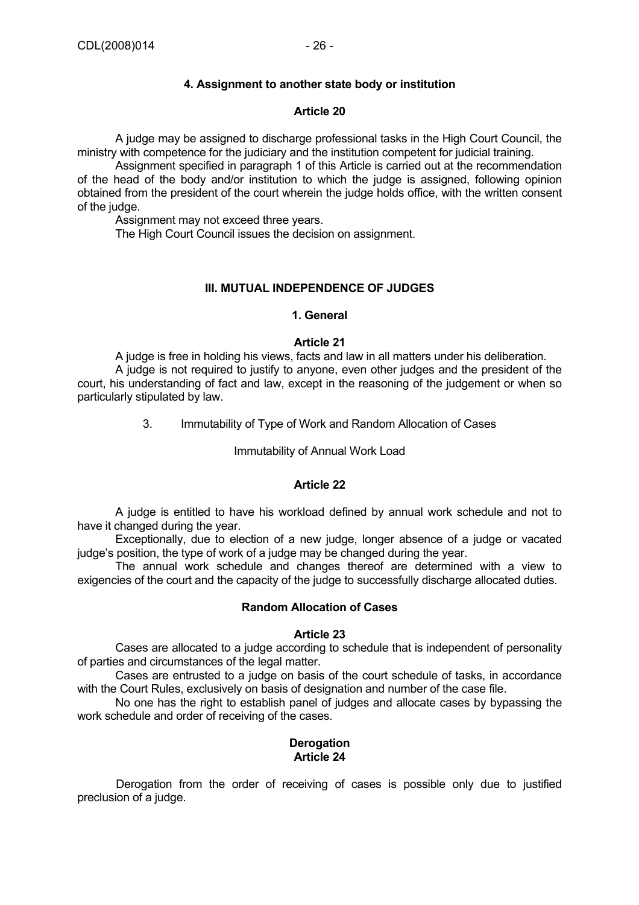# **4. Assignment to another state body or institution**

### **Article 20**

 A judge may be assigned to discharge professional tasks in the High Court Council, the ministry with competence for the judiciary and the institution competent for judicial training.

 Assignment specified in paragraph 1 of this Article is carried out at the recommendation of the head of the body and/or institution to which the judge is assigned, following opinion obtained from the president of the court wherein the judge holds office, with the written consent of the judge.

Assignment may not exceed three years.

The High Court Council issues the decision on assignment.

### **III. MUTUAL INDEPENDENCE OF JUDGES**

#### **1. General**

### **Article 21**

 A judge is free in holding his views, facts and law in all matters under his deliberation. A judge is not required to justify to anyone, even other judges and the president of the court, his understanding of fact and law, except in the reasoning of the judgement or when so particularly stipulated by law.

3. Immutability of Type of Work and Random Allocation of Cases

### Immutability of Annual Work Load

#### **Article 22**

 A judge is entitled to have his workload defined by annual work schedule and not to have it changed during the year.

 Exceptionally, due to election of a new judge, longer absence of a judge or vacated judge's position, the type of work of a judge may be changed during the year.

 The annual work schedule and changes thereof are determined with a view to exigencies of the court and the capacity of the judge to successfully discharge allocated duties.

### **Random Allocation of Cases**

#### **Article 23**

 Cases are allocated to a judge according to schedule that is independent of personality of parties and circumstances of the legal matter.

 Cases are entrusted to a judge on basis of the court schedule of tasks, in accordance with the Court Rules, exclusively on basis of designation and number of the case file.

 No one has the right to establish panel of judges and allocate cases by bypassing the work schedule and order of receiving of the cases.

# **Derogation Article 24**

Derogation from the order of receiving of cases is possible only due to justified preclusion of a judge.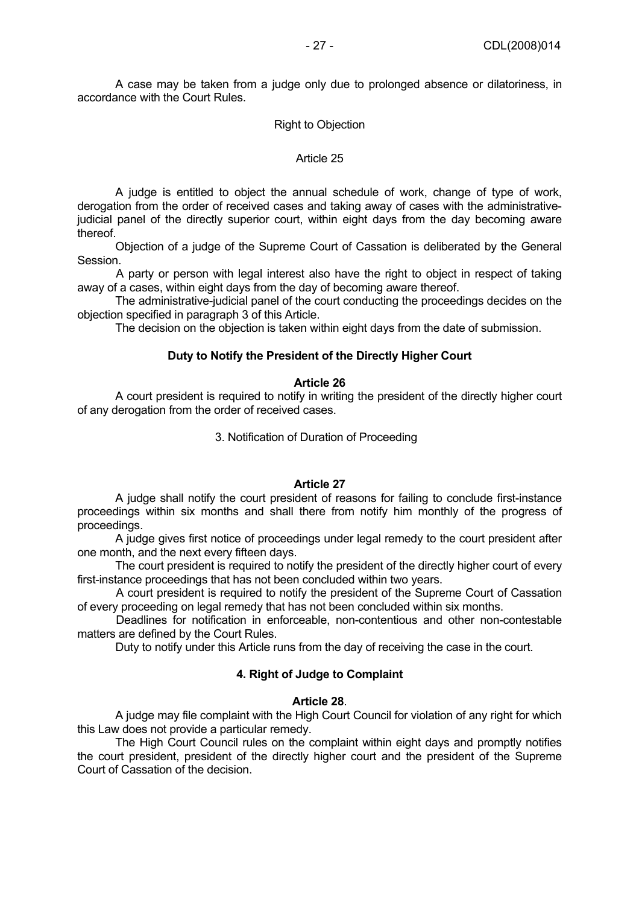A case may be taken from a judge only due to prolonged absence or dilatoriness, in accordance with the Court Rules.

#### Right to Objection

#### Article 25

 A judge is entitled to object the annual schedule of work, change of type of work, derogation from the order of received cases and taking away of cases with the administrativejudicial panel of the directly superior court, within eight days from the day becoming aware thereof.

 Objection of a judge of the Supreme Court of Cassation is deliberated by the General Session.

A party or person with legal interest also have the right to object in respect of taking away of a cases, within eight days from the day of becoming aware thereof.

 The administrative-judicial panel of the court conducting the proceedings decides on the objection specified in paragraph 3 of this Article.

The decision on the objection is taken within eight days from the date of submission.

#### **Duty to Notify the President of the Directly Higher Court**

#### **Article 26**

 A court president is required to notify in writing the president of the directly higher court of any derogation from the order of received cases.

3. Notification of Duration of Proceeding

#### **Article 27**

 A judge shall notify the court president of reasons for failing to conclude first-instance proceedings within six months and shall there from notify him monthly of the progress of proceedings.

 A judge gives first notice of proceedings under legal remedy to the court president after one month, and the next every fifteen days.

 The court president is required to notify the president of the directly higher court of every first-instance proceedings that has not been concluded within two years.

A court president is required to notify the president of the Supreme Court of Cassation of every proceeding on legal remedy that has not been concluded within six months.

Deadlines for notification in enforceable, non-contentious and other non-contestable matters are defined by the Court Rules.

Duty to notify under this Article runs from the day of receiving the case in the court.

### **4. Right of Judge to Complaint**

#### **Article 28**.

 A judge may file complaint with the High Court Council for violation of any right for which this Law does not provide a particular remedy.

 The High Court Council rules on the complaint within eight days and promptly notifies the court president, president of the directly higher court and the president of the Supreme Court of Cassation of the decision.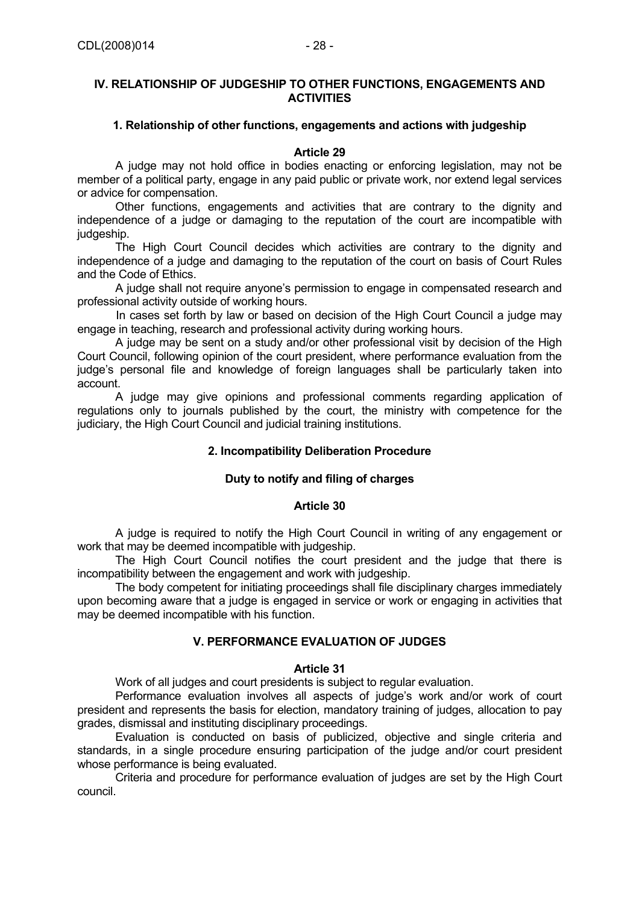#### **1. Relationship of other functions, engagements and actions with judgeship**

### **Article 29**

 A judge may not hold office in bodies enacting or enforcing legislation, may not be member of a political party, engage in any paid public or private work, nor extend legal services or advice for compensation.

 Other functions, engagements and activities that are contrary to the dignity and independence of a judge or damaging to the reputation of the court are incompatible with judgeship.

 The High Court Council decides which activities are contrary to the dignity and independence of a judge and damaging to the reputation of the court on basis of Court Rules and the Code of Ethics.

 A judge shall not require anyone's permission to engage in compensated research and professional activity outside of working hours.

In cases set forth by law or based on decision of the High Court Council a judge may engage in teaching, research and professional activity during working hours.

 A judge may be sent on a study and/or other professional visit by decision of the High Court Council, following opinion of the court president, where performance evaluation from the judge's personal file and knowledge of foreign languages shall be particularly taken into account.

 A judge may give opinions and professional comments regarding application of regulations only to journals published by the court, the ministry with competence for the judiciary, the High Court Council and judicial training institutions.

# **2. Incompatibility Deliberation Procedure**

# **Duty to notify and filing of charges**

# **Article 30**

 A judge is required to notify the High Court Council in writing of any engagement or work that may be deemed incompatible with judgeship.

 The High Court Council notifies the court president and the judge that there is incompatibility between the engagement and work with judgeship.

 The body competent for initiating proceedings shall file disciplinary charges immediately upon becoming aware that a judge is engaged in service or work or engaging in activities that may be deemed incompatible with his function.

# **V. PERFORMANCE EVALUATION OF JUDGES**

#### **Article 31**

Work of all judges and court presidents is subject to regular evaluation.

 Performance evaluation involves all aspects of judge's work and/or work of court president and represents the basis for election, mandatory training of judges, allocation to pay grades, dismissal and instituting disciplinary proceedings.

 Evaluation is conducted on basis of publicized, objective and single criteria and standards, in a single procedure ensuring participation of the judge and/or court president whose performance is being evaluated.

 Criteria and procedure for performance evaluation of judges are set by the High Court council.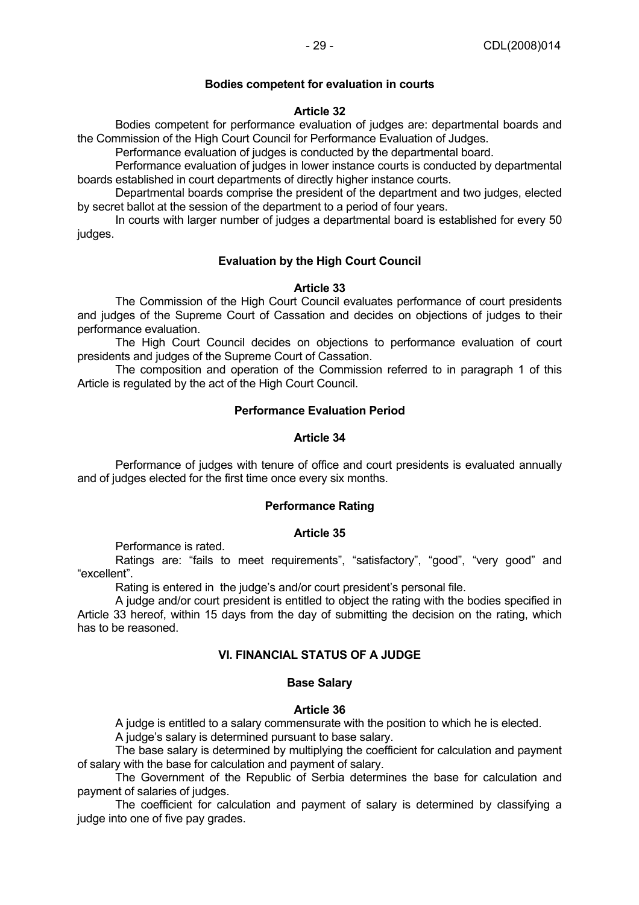### **Bodies competent for evaluation in courts**

### **Article 32**

 Bodies competent for performance evaluation of judges are: departmental boards and the Commission of the High Court Council for Performance Evaluation of Judges.

Performance evaluation of judges is conducted by the departmental board.

 Performance evaluation of judges in lower instance courts is conducted by departmental boards established in court departments of directly higher instance courts.

 Departmental boards comprise the president of the department and two judges, elected by secret ballot at the session of the department to a period of four years.

 In courts with larger number of judges a departmental board is established for every 50 judges.

### **Evaluation by the High Court Council**

### **Article 33**

 The Commission of the High Court Council evaluates performance of court presidents and judges of the Supreme Court of Cassation and decides on objections of judges to their performance evaluation.

 The High Court Council decides on objections to performance evaluation of court presidents and judges of the Supreme Court of Cassation.

 The composition and operation of the Commission referred to in paragraph 1 of this Article is regulated by the act of the High Court Council.

### **Performance Evaluation Period**

### **Article 34**

 Performance of judges with tenure of office and court presidents is evaluated annually and of judges elected for the first time once every six months.

#### **Performance Rating**

#### **Article 35**

Performance is rated.

Ratings are: "fails to meet requirements", "satisfactory", "good", "very good" and "excellent".

Rating is entered in the judge's and/or court president's personal file.

 A judge and/or court president is entitled to object the rating with the bodies specified in Article 33 hereof, within 15 days from the day of submitting the decision on the rating, which has to be reasoned.

#### **VI. FINANCIAL STATUS OF A JUDGE**

#### **Base Salary**

#### **Article 36**

A judge is entitled to a salary commensurate with the position to which he is elected.

A judge's salary is determined pursuant to base salary.

 The base salary is determined by multiplying the coefficient for calculation and payment of salary with the base for calculation and payment of salary.

 The Government of the Republic of Serbia determines the base for calculation and payment of salaries of judges.

 The coefficient for calculation and payment of salary is determined by classifying a judge into one of five pay grades.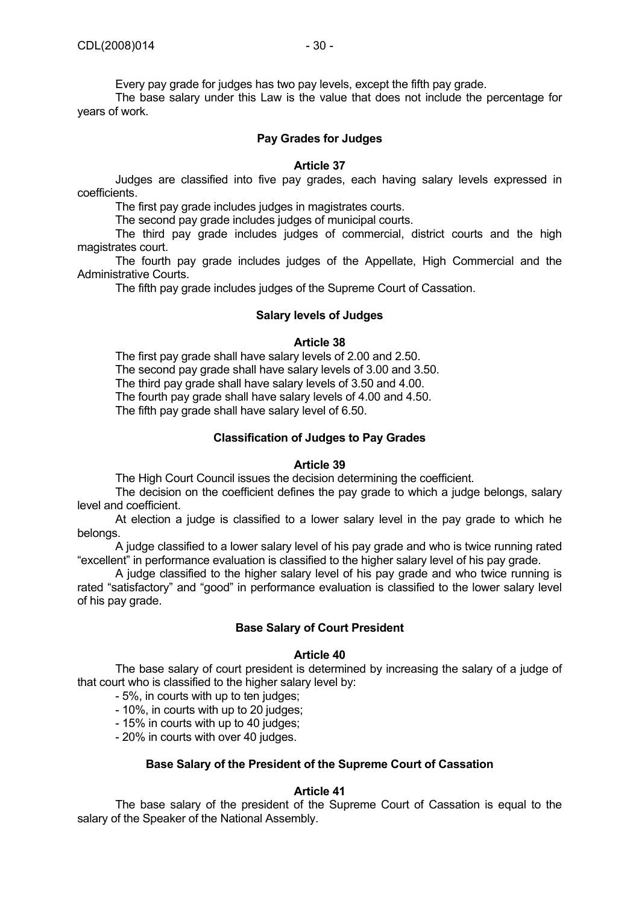Every pay grade for judges has two pay levels, except the fifth pay grade.

 The base salary under this Law is the value that does not include the percentage for years of work.

### **Pay Grades for Judges**

#### **Article 37**

 Judges are classified into five pay grades, each having salary levels expressed in coefficients.

The first pay grade includes judges in magistrates courts.

The second pay grade includes judges of municipal courts.

 The third pay grade includes judges of commercial, district courts and the high magistrates court.

 The fourth pay grade includes judges of the Appellate, High Commercial and the Administrative Courts.

The fifth pay grade includes judges of the Supreme Court of Cassation.

#### **Salary levels of Judges**

#### **Article 38**

 The first pay grade shall have salary levels of 2.00 and 2.50. The second pay grade shall have salary levels of 3.00 and 3.50. The third pay grade shall have salary levels of 3.50 and 4.00. The fourth pay grade shall have salary levels of 4.00 and 4.50. The fifth pay grade shall have salary level of 6.50.

### **Classification of Judges to Pay Grades**

#### **Article 39**

The High Court Council issues the decision determining the coefficient.

 The decision on the coefficient defines the pay grade to which a judge belongs, salary level and coefficient.

 At election a judge is classified to a lower salary level in the pay grade to which he belongs.

 A judge classified to a lower salary level of his pay grade and who is twice running rated "excellent" in performance evaluation is classified to the higher salary level of his pay grade.

 A judge classified to the higher salary level of his pay grade and who twice running is rated "satisfactory" and "good" in performance evaluation is classified to the lower salary level of his pay grade.

### **Base Salary of Court President**

#### **Article 40**

 The base salary of court president is determined by increasing the salary of a judge of that court who is classified to the higher salary level by:

- 5%, in courts with up to ten judges;

- 10%, in courts with up to 20 judges;

- 15% in courts with up to 40 judges;

- 20% in courts with over 40 judges.

#### **Base Salary of the President of the Supreme Court of Cassation**

#### **Article 41**

 The base salary of the president of the Supreme Court of Cassation is equal to the salary of the Speaker of the National Assembly.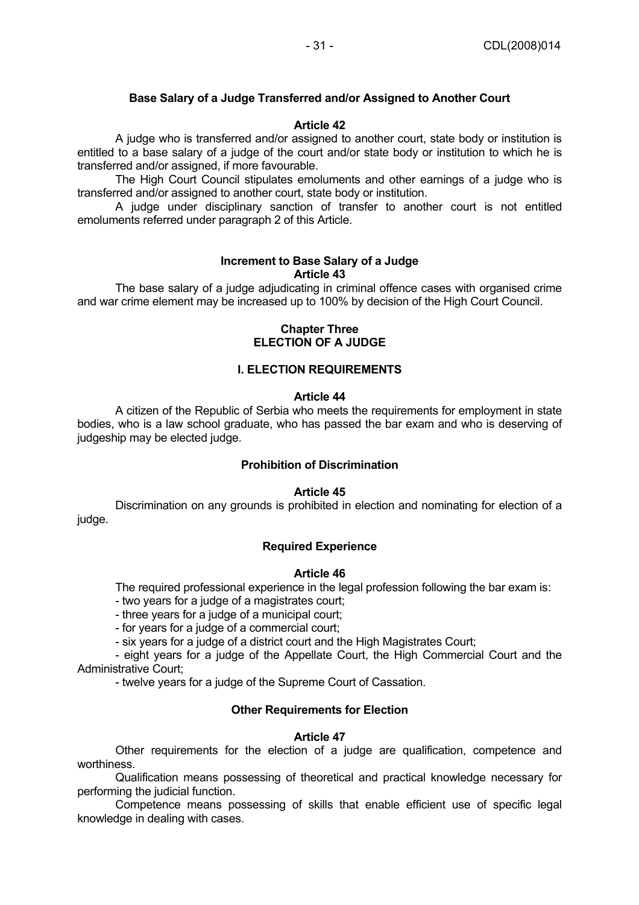# **Base Salary of a Judge Transferred and/or Assigned to Another Court**

### **Article 42**

 A judge who is transferred and/or assigned to another court, state body or institution is entitled to a base salary of a judge of the court and/or state body or institution to which he is transferred and/or assigned, if more favourable.

 The High Court Council stipulates emoluments and other earnings of a judge who is transferred and/or assigned to another court, state body or institution.

 A judge under disciplinary sanction of transfer to another court is not entitled emoluments referred under paragraph 2 of this Article.

#### **Increment to Base Salary of a Judge Article 43**

 The base salary of a judge adjudicating in criminal offence cases with organised crime and war crime element may be increased up to 100% by decision of the High Court Council.

#### **Chapter Three ELECTION OF A JUDGE**

### **I. ELECTION REQUIREMENTS**

#### **Article 44**

 A citizen of the Republic of Serbia who meets the requirements for employment in state bodies, who is a law school graduate, who has passed the bar exam and who is deserving of judgeship may be elected judge.

### **Prohibition of Discrimination**

#### **Article 45**

 Discrimination on any grounds is prohibited in election and nominating for election of a judge.

#### **Required Experience**

### **Article 46**

The required professional experience in the legal profession following the bar exam is:

- two years for a judge of a magistrates court;

- three years for a judge of a municipal court;

- for years for a judge of a commercial court;

- six years for a judge of a district court and the High Magistrates Court;

 - eight years for a judge of the Appellate Court, the High Commercial Court and the Administrative Court;

- twelve years for a judge of the Supreme Court of Cassation.

# **Other Requirements for Election**

#### **Article 47**

 Other requirements for the election of a judge are qualification, competence and worthiness.

 Qualification means possessing of theoretical and practical knowledge necessary for performing the judicial function.

 Competence means possessing of skills that enable efficient use of specific legal knowledge in dealing with cases.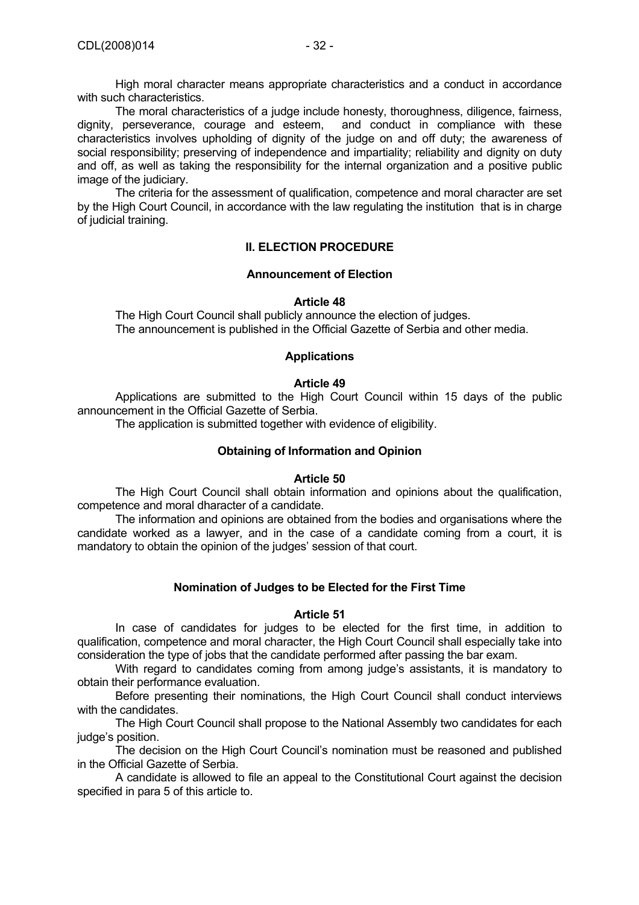High moral character means appropriate characteristics and a conduct in accordance with such characteristics.

The moral characteristics of a judge include honesty, thoroughness, diligence, fairness, perseverance, courage and esteem, and conduct in compliance with these dignity, perseverance, courage and esteem, characteristics involves upholding of dignity of the judge on and off duty; the awareness of social responsibility; preserving of independence and impartiality; reliability and dignity on duty and off, as well as taking the responsibility for the internal organization and a positive public image of the judiciary.

 The criteria for the assessment of qualification, competence and moral character are set by the High Court Council, in accordance with the law regulating the institution that is in charge of judicial training.

# **II. ELECTION PROCEDURE**

# **Announcement of Election**

# **Article 48**

 The High Court Council shall publicly announce the election of judges. The announcement is published in the Official Gazette of Serbia and other media.

# **Applications**

# **Article 49**

 Applications are submitted to the High Court Council within 15 days of the public announcement in the Official Gazette of Serbia.

The application is submitted together with evidence of eligibility.

# **Obtaining of Information and Opinion**

# **Article 50**

 The High Court Council shall obtain information and opinions about the qualification, competence and moral dharacter of a candidate.

 The information and opinions are obtained from the bodies and organisations where the candidate worked as a lawyer, and in the case of a candidate coming from a court, it is mandatory to obtain the opinion of the judges' session of that court.

# **Nomination of Judges to be Elected for the First Time**

# **Article 51**

 In case of candidates for judges to be elected for the first time, in addition to qualification, competence and moral character, the High Court Council shall especially take into consideration the type of jobs that the candidate performed after passing the bar exam.

 With regard to candidates coming from among judge's assistants, it is mandatory to obtain their performance evaluation.

 Before presenting their nominations, the High Court Council shall conduct interviews with the candidates.

 The High Court Council shall propose to the National Assembly two candidates for each judge's position.

 The decision on the High Court Council's nomination must be reasoned and published in the Official Gazette of Serbia.

 A candidate is allowed to file an appeal to the Constitutional Court against the decision specified in para 5 of this article to.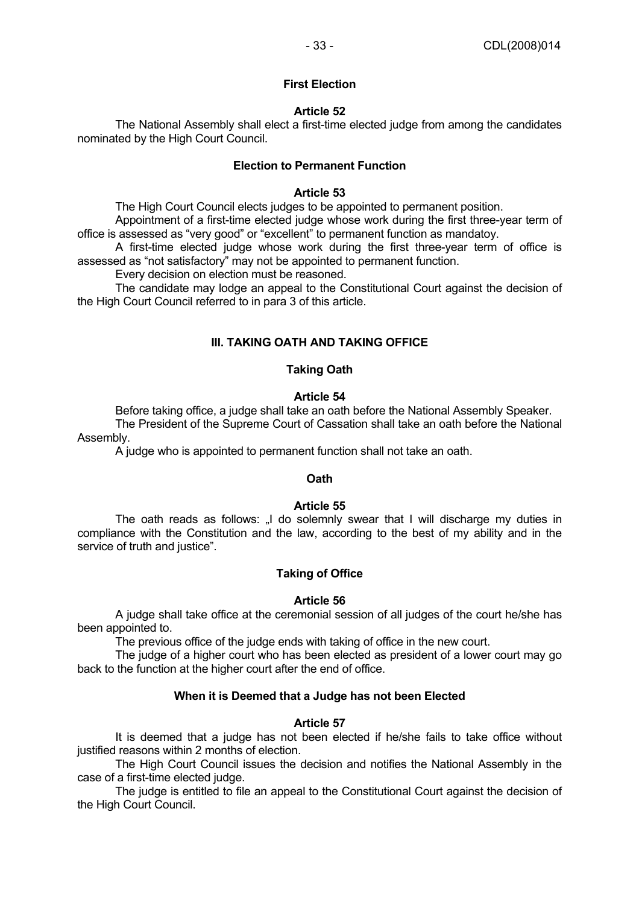### **First Election**

### **Article 52**

 The National Assembly shall elect a first-time elected judge from among the candidates nominated by the High Court Council.

### **Election to Permanent Function**

### **Article 53**

The High Court Council elects judges to be appointed to permanent position.

 Appointment of a first-time elected judge whose work during the first three-year term of office is assessed as "very good" or "excellent" to permanent function as mandatoy.

 A first-time elected judge whose work during the first three-year term of office is assessed as "not satisfactory" may not be appointed to permanent function.

Every decision on election must be reasoned.

 The candidate may lodge an appeal to the Constitutional Court against the decision of the High Court Council referred to in para 3 of this article.

# **III. TAKING OATH AND TAKING OFFICE**

# **Taking Oath**

### **Article 54**

 Before taking office, a judge shall take an oath before the National Assembly Speaker. The President of the Supreme Court of Cassation shall take an oath before the National Assembly.

A judge who is appointed to permanent function shall not take an oath.

# **Oath**

#### **Article 55**

The oath reads as follows: "I do solemnly swear that I will discharge my duties in compliance with the Constitution and the law, according to the best of my ability and in the service of truth and justice".

# **Taking of Office**

#### **Article 56**

 A judge shall take office at the ceremonial session of all judges of the court he/she has been appointed to.

The previous office of the judge ends with taking of office in the new court.

 The judge of a higher court who has been elected as president of a lower court may go back to the function at the higher court after the end of office.

# **When it is Deemed that a Judge has not been Elected**

# **Article 57**

 It is deemed that a judge has not been elected if he/she fails to take office without justified reasons within 2 months of election.

 The High Court Council issues the decision and notifies the National Assembly in the case of a first-time elected judge.

 The judge is entitled to file an appeal to the Constitutional Court against the decision of the High Court Council.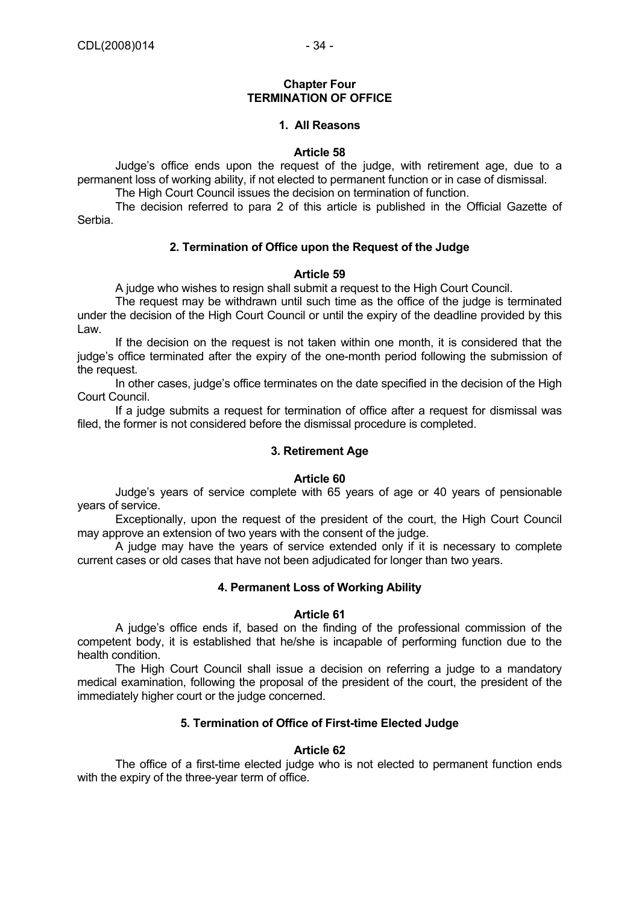#### **Chapter Four TERMINATION OF OFFICE**

# **1. All Reasons**

#### **Article 58**

 Judge's office ends upon the request of the judge, with retirement age, due to a permanent loss of working ability, if not elected to permanent function or in case of dismissal.

The High Court Council issues the decision on termination of function.

 The decision referred to para 2 of this article is published in the Official Gazette of Serbia.

### **2. Termination of Office upon the Request of the Judge**

### **Article 59**

A judge who wishes to resign shall submit a request to the High Court Council.

 The request may be withdrawn until such time as the office of the judge is terminated under the decision of the High Court Council or until the expiry of the deadline provided by this Law.

 If the decision on the request is not taken within one month, it is considered that the judge's office terminated after the expiry of the one-month period following the submission of the request.

 In other cases, judge's office terminates on the date specified in the decision of the High Court Council.

 If a judge submits a request for termination of office after a request for dismissal was filed, the former is not considered before the dismissal procedure is completed.

# **3. Retirement Age**

#### **Article 60**

 Judge's years of service complete with 65 years of age or 40 years of pensionable years of service.

 Exceptionally, upon the request of the president of the court, the High Court Council may approve an extension of two years with the consent of the judge.

 A judge may have the years of service extended only if it is necessary to complete current cases or old cases that have not been adjudicated for longer than two years.

#### **4. Permanent Loss of Working Ability**

#### **Article 61**

 A judge's office ends if, based on the finding of the professional commission of the competent body, it is established that he/she is incapable of performing function due to the health condition.

 The High Court Council shall issue a decision on referring a judge to a mandatory medical examination, following the proposal of the president of the court, the president of the immediately higher court or the judge concerned.

# **5. Termination of Office of First-time Elected Judge**

#### **Article 62**

 The office of a first-time elected judge who is not elected to permanent function ends with the expiry of the three-year term of office.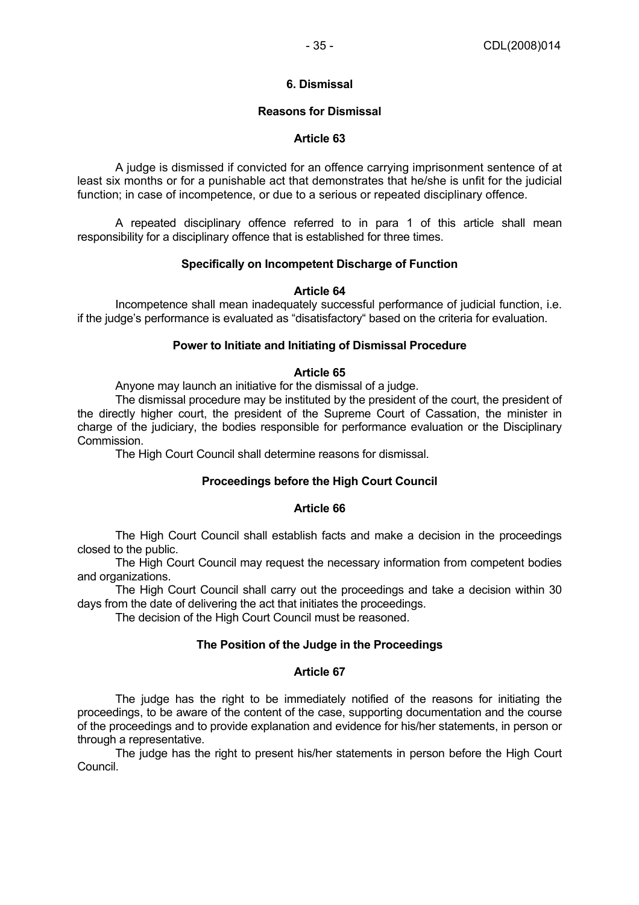# **6. Dismissal**

# **Reasons for Dismissal**

# **Article 63**

 A judge is dismissed if convicted for an offence carrying imprisonment sentence of at least six months or for a punishable act that demonstrates that he/she is unfit for the judicial function; in case of incompetence, or due to a serious or repeated disciplinary offence.

 A repeated disciplinary offence referred to in para 1 of this article shall mean responsibility for a disciplinary offence that is established for three times.

### **Specifically on Incompetent Discharge of Function**

### **Article 64**

 Incompetence shall mean inadequately successful performance of judicial function, i.e. if the judge's performance is evaluated as "disatisfactory" based on the criteria for evaluation.

### **Power to Initiate and Initiating of Dismissal Procedure**

### **Article 65**

Anyone may launch an initiative for the dismissal of a judge.

 The dismissal procedure may be instituted by the president of the court, the president of the directly higher court, the president of the Supreme Court of Cassation, the minister in charge of the judiciary, the bodies responsible for performance evaluation or the Disciplinary Commission.

The High Court Council shall determine reasons for dismissal.

# **Proceedings before the High Court Council**

# **Article 66**

 The High Court Council shall establish facts and make a decision in the proceedings closed to the public.

 The High Court Council may request the necessary information from competent bodies and organizations.

 The High Court Council shall carry out the proceedings and take a decision within 30 days from the date of delivering the act that initiates the proceedings.

The decision of the High Court Council must be reasoned.

# **The Position of the Judge in the Proceedings**

# **Article 67**

 The judge has the right to be immediately notified of the reasons for initiating the proceedings, to be aware of the content of the case, supporting documentation and the course of the proceedings and to provide explanation and evidence for his/her statements, in person or through a representative.

 The judge has the right to present his/her statements in person before the High Court Council.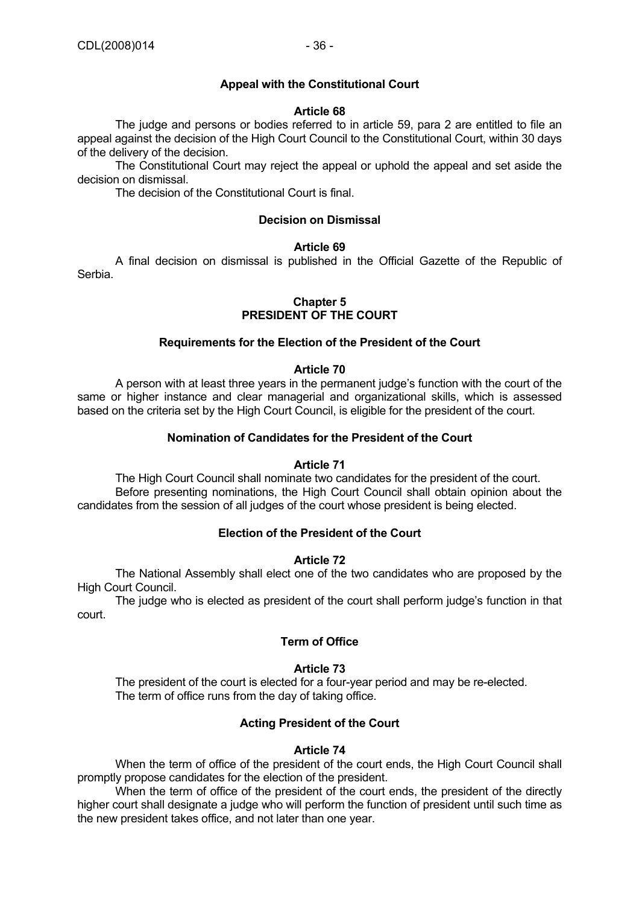# **Appeal with the Constitutional Court**

#### **Article 68**

 The judge and persons or bodies referred to in article 59, para 2 are entitled to file an appeal against the decision of the High Court Council to the Constitutional Court, within 30 days of the delivery of the decision.

 The Constitutional Court may reject the appeal or uphold the appeal and set aside the decision on dismissal.

The decision of the Constitutional Court is final.

#### **Decision on Dismissal**

#### **Article 69**

 A final decision on dismissal is published in the Official Gazette of the Republic of Serbia.

# **Chapter 5 PRESIDENT OF THE COURT**

#### **Requirements for the Election of the President of the Court**

#### **Article 70**

 A person with at least three years in the permanent judge's function with the court of the same or higher instance and clear managerial and organizational skills, which is assessed based on the criteria set by the High Court Council, is eligible for the president of the court.

#### **Nomination of Candidates for the President of the Court**

#### **Article 71**

 The High Court Council shall nominate two candidates for the president of the court. Before presenting nominations, the High Court Council shall obtain opinion about the candidates from the session of all judges of the court whose president is being elected.

### **Election of the President of the Court**

### **Article 72**

 The National Assembly shall elect one of the two candidates who are proposed by the High Court Council.

 The judge who is elected as president of the court shall perform judge's function in that court.

### **Term of Office**

#### **Article 73**

 The president of the court is elected for a four-year period and may be re-elected. The term of office runs from the day of taking office.

#### **Acting President of the Court**

#### **Article 74**

 When the term of office of the president of the court ends, the High Court Council shall promptly propose candidates for the election of the president.

 When the term of office of the president of the court ends, the president of the directly higher court shall designate a judge who will perform the function of president until such time as the new president takes office, and not later than one year.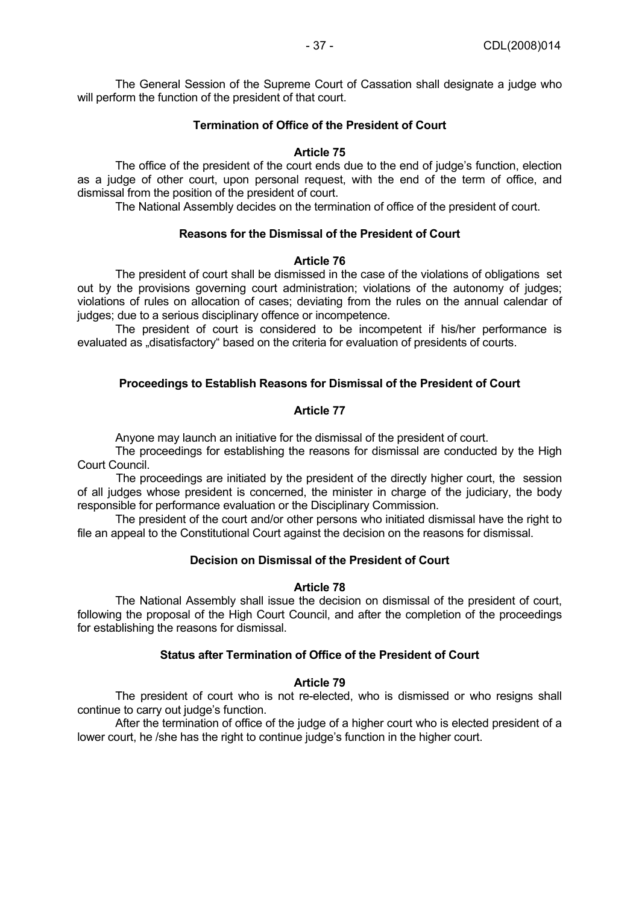The General Session of the Supreme Court of Cassation shall designate a judge who will perform the function of the president of that court.

### **Termination of Office of the President of Court**

### **Article 75**

 The office of the president of the court ends due to the end of judge's function, election as a judge of other court, upon personal request, with the end of the term of office, and dismissal from the position of the president of court.

The National Assembly decides on the termination of office of the president of court.

# **Reasons for the Dismissal of the President of Court**

#### **Article 76**

 The president of court shall be dismissed in the case of the violations of obligations set out by the provisions governing court administration; violations of the autonomy of judges; violations of rules on allocation of cases; deviating from the rules on the annual calendar of judges; due to a serious disciplinary offence or incompetence.

 The president of court is considered to be incompetent if his/her performance is evaluated as "disatisfactory" based on the criteria for evaluation of presidents of courts.

### **Proceedings to Establish Reasons for Dismissal of the President of Court**

### **Article 77**

Anyone may launch an initiative for the dismissal of the president of court.

 The proceedings for establishing the reasons for dismissal are conducted by the High Court Council.

The proceedings are initiated by the president of the directly higher court, the session of all judges whose president is concerned, the minister in charge of the judiciary, the body responsible for performance evaluation or the Disciplinary Commission.

 The president of the court and/or other persons who initiated dismissal have the right to file an appeal to the Constitutional Court against the decision on the reasons for dismissal.

# **Decision on Dismissal of the President of Court**

#### **Article 78**

 The National Assembly shall issue the decision on dismissal of the president of court, following the proposal of the High Court Council, and after the completion of the proceedings for establishing the reasons for dismissal.

### **Status after Termination of Office of the President of Court**

# **Article 79**

 The president of court who is not re-elected, who is dismissed or who resigns shall continue to carry out judge's function.

 After the termination of office of the judge of a higher court who is elected president of a lower court, he /she has the right to continue judge's function in the higher court.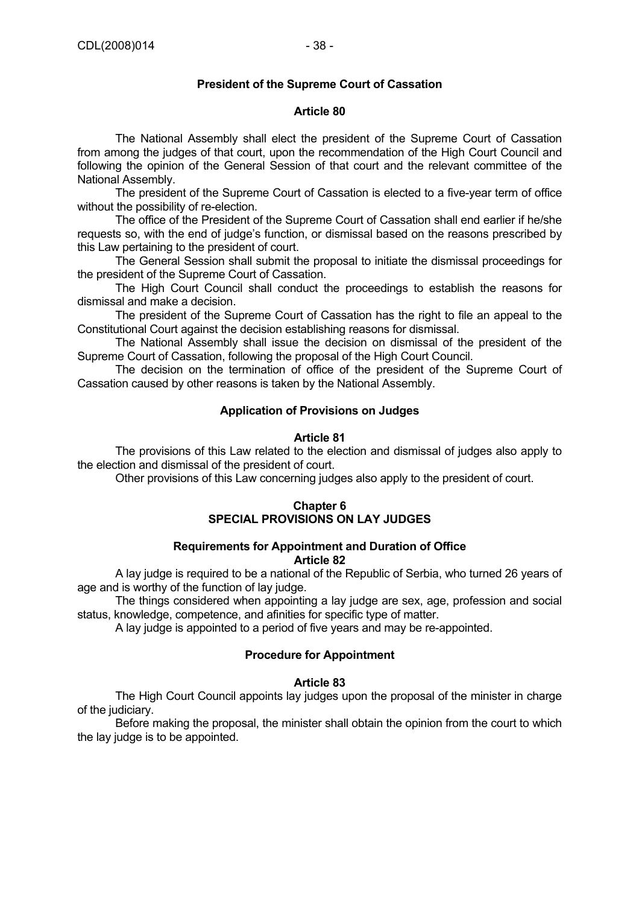# **President of the Supreme Court of Cassation**

### **Article 80**

 The National Assembly shall elect the president of the Supreme Court of Cassation from among the judges of that court, upon the recommendation of the High Court Council and following the opinion of the General Session of that court and the relevant committee of the National Assembly.

 The president of the Supreme Court of Cassation is elected to a five-year term of office without the possibility of re-election.

 The office of the President of the Supreme Court of Cassation shall end earlier if he/she requests so, with the end of judge's function, or dismissal based on the reasons prescribed by this Law pertaining to the president of court.

 The General Session shall submit the proposal to initiate the dismissal proceedings for the president of the Supreme Court of Cassation.

 The High Court Council shall conduct the proceedings to establish the reasons for dismissal and make a decision.

 The president of the Supreme Court of Cassation has the right to file an appeal to the Constitutional Court against the decision establishing reasons for dismissal.

 The National Assembly shall issue the decision on dismissal of the president of the Supreme Court of Cassation, following the proposal of the High Court Council.

 The decision on the termination of office of the president of the Supreme Court of Cassation caused by other reasons is taken by the National Assembly.

### **Application of Provisions on Judges**

#### **Article 81**

 The provisions of this Law related to the election and dismissal of judges also apply to the election and dismissal of the president of court.

Other provisions of this Law concerning judges also apply to the president of court.

### **Chapter 6 SPECIAL PROVISIONS ON LAY JUDGES**

#### **Requirements for Appointment and Duration of Office Article 82**

 A lay judge is required to be a national of the Republic of Serbia, who turned 26 years of age and is worthy of the function of lay judge.

 The things considered when appointing a lay judge are sex, age, profession and social status, knowledge, competence, and afinities for specific type of matter.

A lay judge is appointed to a period of five years and may be re-appointed.

#### **Procedure for Appointment**

# **Article 83**

 The High Court Council appoints lay judges upon the proposal of the minister in charge of the judiciary.

 Before making the proposal, the minister shall obtain the opinion from the court to which the lay judge is to be appointed.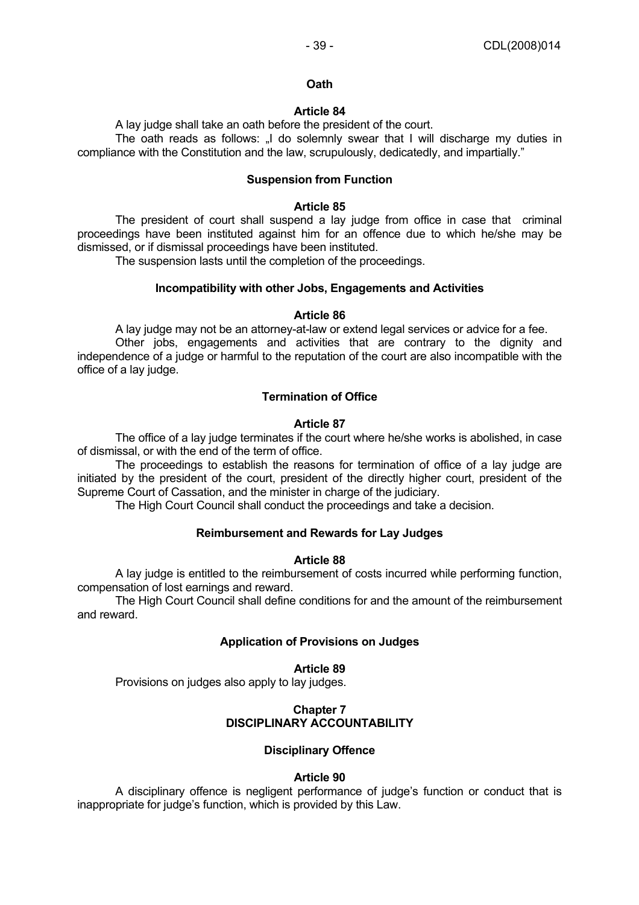### **Oath**

# **Article 84**

A lay judge shall take an oath before the president of the court.

The oath reads as follows: I do solemnly swear that I will discharge my duties in compliance with the Constitution and the law, scrupulously, dedicatedly, and impartially."

### **Suspension from Function**

#### **Article 85**

 The president of court shall suspend a lay judge from office in case that criminal proceedings have been instituted against him for an offence due to which he/she may be dismissed, or if dismissal proceedings have been instituted.

The suspension lasts until the completion of the proceedings.

### **Incompatibility with other Jobs, Engagements and Activities**

### **Article 86**

A lay judge may not be an attorney-at-law or extend legal services or advice for a fee.

 Other jobs, engagements and activities that are contrary to the dignity and independence of a judge or harmful to the reputation of the court are also incompatible with the office of a lay judge.

# **Termination of Office**

# **Article 87**

 The office of a lay judge terminates if the court where he/she works is abolished, in case of dismissal, or with the end of the term of office.

 The proceedings to establish the reasons for termination of office of a lay judge are initiated by the president of the court, president of the directly higher court, president of the Supreme Court of Cassation, and the minister in charge of the judiciary.

The High Court Council shall conduct the proceedings and take a decision.

# **Reimbursement and Rewards for Lay Judges**

# **Article 88**

 A lay judge is entitled to the reimbursement of costs incurred while performing function, compensation of lost earnings and reward.

 The High Court Council shall define conditions for and the amount of the reimbursement and reward.

#### **Application of Provisions on Judges**

#### **Article 89**

Provisions on judges also apply to lay judges.

# **Chapter 7 DISCIPLINARY ACCOUNTABILITY**

# **Disciplinary Offence**

# **Article 90**

 A disciplinary offence is negligent performance of judge's function or conduct that is inappropriate for judge's function, which is provided by this Law.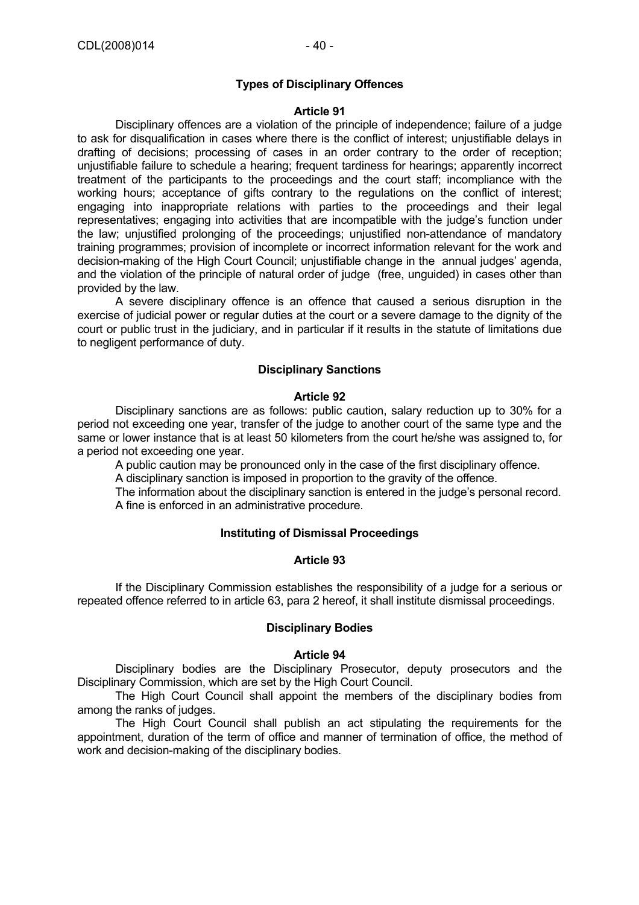### **Types of Disciplinary Offences**

#### **Article 91**

 Disciplinary offences are a violation of the principle of independence; failure of a judge to ask for disqualification in cases where there is the conflict of interest; unjustifiable delays in drafting of decisions; processing of cases in an order contrary to the order of reception; unjustifiable failure to schedule a hearing; frequent tardiness for hearings; apparently incorrect treatment of the participants to the proceedings and the court staff; incompliance with the working hours; acceptance of gifts contrary to the regulations on the conflict of interest; engaging into inappropriate relations with parties to the proceedings and their legal representatives; engaging into activities that are incompatible with the judge's function under the law; unjustified prolonging of the proceedings; unjustified non-attendance of mandatory training programmes; provision of incomplete or incorrect information relevant for the work and decision-making of the High Court Council; unjustifiable change in the annual judges' agenda, and the violation of the principle of natural order of judge (free, unguided) in cases other than provided by the law.

 A severe disciplinary offence is an offence that caused a serious disruption in the exercise of judicial power or regular duties at the court or a severe damage to the dignity of the court or public trust in the judiciary, and in particular if it results in the statute of limitations due to negligent performance of duty.

### **Disciplinary Sanctions**

#### **Article 92**

 Disciplinary sanctions are as follows: public caution, salary reduction up to 30% for a period not exceeding one year, transfer of the judge to another court of the same type and the same or lower instance that is at least 50 kilometers from the court he/she was assigned to, for a period not exceeding one year.

A public caution may be pronounced only in the case of the first disciplinary offence.

A disciplinary sanction is imposed in proportion to the gravity of the offence.

 The information about the disciplinary sanction is entered in the judge's personal record. A fine is enforced in an administrative procedure.

### **Instituting of Dismissal Proceedings**

### **Article 93**

 If the Disciplinary Commission establishes the responsibility of a judge for a serious or repeated offence referred to in article 63, para 2 hereof, it shall institute dismissal proceedings.

#### **Disciplinary Bodies**

#### **Article 94**

 Disciplinary bodies are the Disciplinary Prosecutor, deputy prosecutors and the Disciplinary Commission, which are set by the High Court Council.

 The High Court Council shall appoint the members of the disciplinary bodies from among the ranks of judges.

 The High Court Council shall publish an act stipulating the requirements for the appointment, duration of the term of office and manner of termination of office, the method of work and decision-making of the disciplinary bodies.